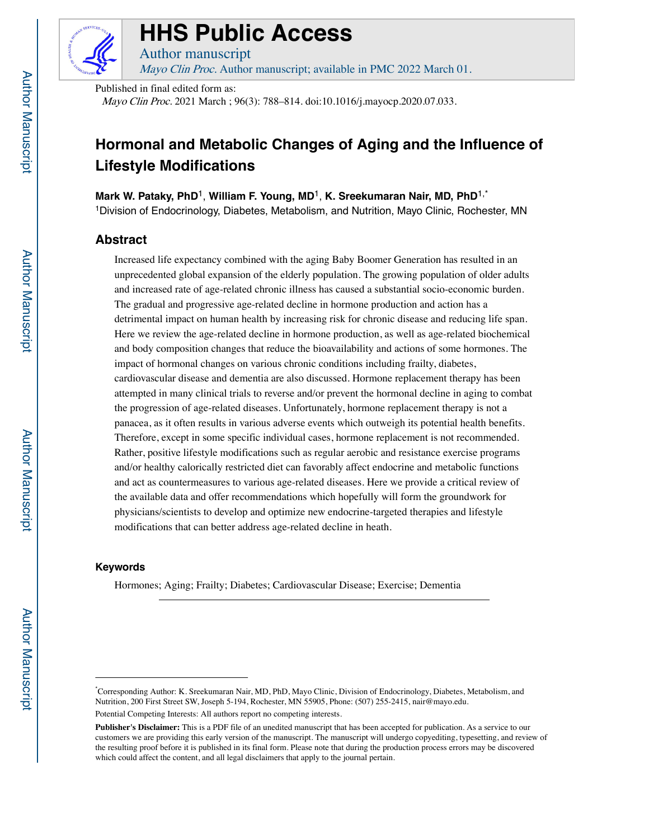

# **HHS Public Access**

Author manuscript Mayo Clin Proc. Author manuscript; available in PMC 2022 March 01.

Published in final edited form as:

Mayo Clin Proc. 2021 March ; 96(3): 788–814. doi:10.1016/j.mayocp.2020.07.033.

# **Hormonal and Metabolic Changes of Aging and the Influence of Lifestyle Modifications**

**Mark W. Pataky, PhD**1, **William F. Young, MD**1, **K. Sreekumaran Nair, MD, PhD**1,\* 1Division of Endocrinology, Diabetes, Metabolism, and Nutrition, Mayo Clinic, Rochester, MN

# **Abstract**

Increased life expectancy combined with the aging Baby Boomer Generation has resulted in an unprecedented global expansion of the elderly population. The growing population of older adults and increased rate of age-related chronic illness has caused a substantial socio-economic burden. The gradual and progressive age-related decline in hormone production and action has a detrimental impact on human health by increasing risk for chronic disease and reducing life span. Here we review the age-related decline in hormone production, as well as age-related biochemical and body composition changes that reduce the bioavailability and actions of some hormones. The impact of hormonal changes on various chronic conditions including frailty, diabetes, cardiovascular disease and dementia are also discussed. Hormone replacement therapy has been attempted in many clinical trials to reverse and/or prevent the hormonal decline in aging to combat the progression of age-related diseases. Unfortunately, hormone replacement therapy is not a panacea, as it often results in various adverse events which outweigh its potential health benefits. Therefore, except in some specific individual cases, hormone replacement is not recommended. Rather, positive lifestyle modifications such as regular aerobic and resistance exercise programs and/or healthy calorically restricted diet can favorably affect endocrine and metabolic functions and act as countermeasures to various age-related diseases. Here we provide a critical review of the available data and offer recommendations which hopefully will form the groundwork for physicians/scientists to develop and optimize new endocrine-targeted therapies and lifestyle modifications that can better address age-related decline in heath.

## **Keywords**

Hormones; Aging; Frailty; Diabetes; Cardiovascular Disease; Exercise; Dementia

<sup>\*</sup> Corresponding Author: K. Sreekumaran Nair, MD, PhD, Mayo Clinic, Division of Endocrinology, Diabetes, Metabolism, and Nutrition, 200 First Street SW, Joseph 5-194, Rochester, MN 55905, Phone: (507) 255-2415, nair@mayo.edu.

Potential Competing Interests: All authors report no competing interests.

**Publisher's Disclaimer:** This is a PDF file of an unedited manuscript that has been accepted for publication. As a service to our customers we are providing this early version of the manuscript. The manuscript will undergo copyediting, typesetting, and review of the resulting proof before it is published in its final form. Please note that during the production process errors may be discovered which could affect the content, and all legal disclaimers that apply to the journal pertain.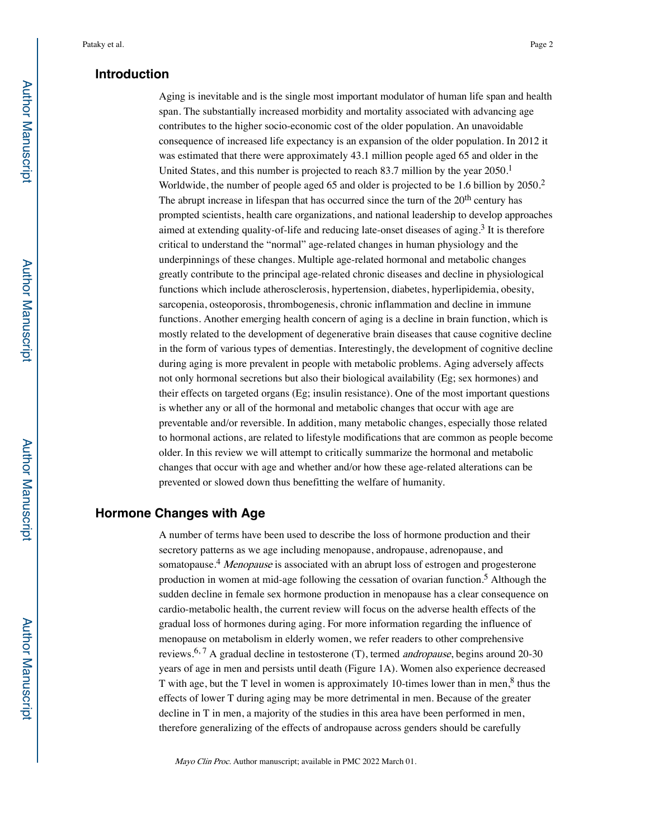## **Introduction**

Aging is inevitable and is the single most important modulator of human life span and health span. The substantially increased morbidity and mortality associated with advancing age contributes to the higher socio-economic cost of the older population. An unavoidable consequence of increased life expectancy is an expansion of the older population. In 2012 it was estimated that there were approximately 43.1 million people aged 65 and older in the United States, and this number is projected to reach  $83.7$  million by the year  $2050<sup>1</sup>$ Worldwide, the number of people aged 65 and older is projected to be 1.6 billion by 2050.<sup>2</sup> The abrupt increase in lifespan that has occurred since the turn of the  $20<sup>th</sup>$  century has prompted scientists, health care organizations, and national leadership to develop approaches aimed at extending quality-of-life and reducing late-onset diseases of aging.<sup>3</sup> It is therefore critical to understand the "normal" age-related changes in human physiology and the underpinnings of these changes. Multiple age-related hormonal and metabolic changes greatly contribute to the principal age-related chronic diseases and decline in physiological functions which include atherosclerosis, hypertension, diabetes, hyperlipidemia, obesity, sarcopenia, osteoporosis, thrombogenesis, chronic inflammation and decline in immune functions. Another emerging health concern of aging is a decline in brain function, which is mostly related to the development of degenerative brain diseases that cause cognitive decline in the form of various types of dementias. Interestingly, the development of cognitive decline during aging is more prevalent in people with metabolic problems. Aging adversely affects not only hormonal secretions but also their biological availability (Eg; sex hormones) and their effects on targeted organs (Eg; insulin resistance). One of the most important questions is whether any or all of the hormonal and metabolic changes that occur with age are preventable and/or reversible. In addition, many metabolic changes, especially those related to hormonal actions, are related to lifestyle modifications that are common as people become older. In this review we will attempt to critically summarize the hormonal and metabolic changes that occur with age and whether and/or how these age-related alterations can be prevented or slowed down thus benefitting the welfare of humanity.

## **Hormone Changes with Age**

A number of terms have been used to describe the loss of hormone production and their secretory patterns as we age including menopause, andropause, adrenopause, and somatopause.<sup>4</sup> Menopause is associated with an abrupt loss of estrogen and progesterone production in women at mid-age following the cessation of ovarian function.5 Although the sudden decline in female sex hormone production in menopause has a clear consequence on cardio-metabolic health, the current review will focus on the adverse health effects of the gradual loss of hormones during aging. For more information regarding the influence of menopause on metabolism in elderly women, we refer readers to other comprehensive reviews.<sup>6, 7</sup> A gradual decline in testosterone (T), termed *andropause*, begins around 20-30 years of age in men and persists until death (Figure 1A). Women also experience decreased T with age, but the T level in women is approximately 10-times lower than in men,  $\frac{8}{3}$  thus the effects of lower T during aging may be more detrimental in men. Because of the greater decline in T in men, a majority of the studies in this area have been performed in men, therefore generalizing of the effects of andropause across genders should be carefully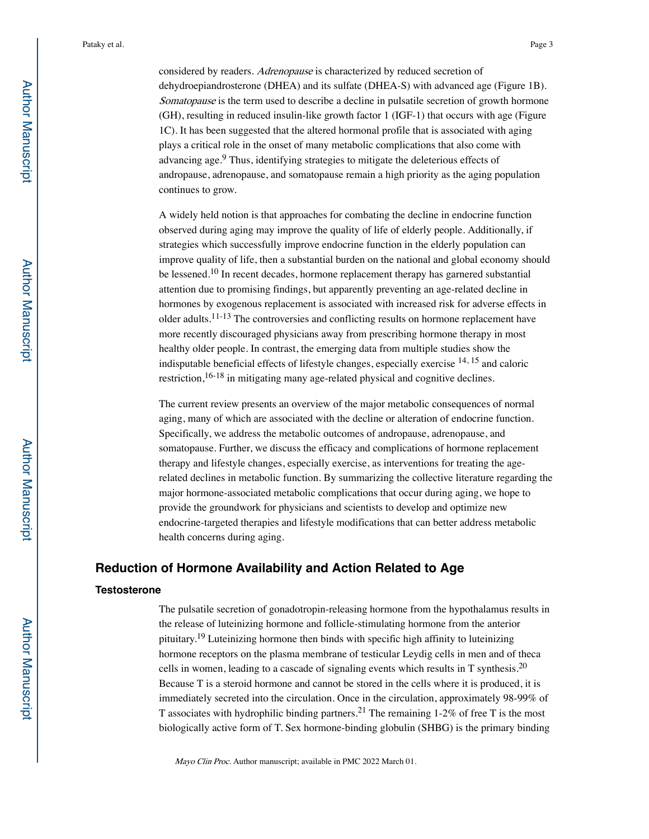considered by readers. Adrenopause is characterized by reduced secretion of dehydroepiandrosterone (DHEA) and its sulfate (DHEA-S) with advanced age (Figure 1B). Somatopause is the term used to describe a decline in pulsatile secretion of growth hormone (GH), resulting in reduced insulin-like growth factor 1 (IGF-1) that occurs with age (Figure 1C). It has been suggested that the altered hormonal profile that is associated with aging plays a critical role in the onset of many metabolic complications that also come with advancing age.<sup>9</sup> Thus, identifying strategies to mitigate the deleterious effects of andropause, adrenopause, and somatopause remain a high priority as the aging population continues to grow.

A widely held notion is that approaches for combating the decline in endocrine function observed during aging may improve the quality of life of elderly people. Additionally, if strategies which successfully improve endocrine function in the elderly population can improve quality of life, then a substantial burden on the national and global economy should be lessened.<sup>10</sup> In recent decades, hormone replacement therapy has garnered substantial attention due to promising findings, but apparently preventing an age-related decline in hormones by exogenous replacement is associated with increased risk for adverse effects in older adults.<sup>11-13</sup> The controversies and conflicting results on hormone replacement have more recently discouraged physicians away from prescribing hormone therapy in most healthy older people. In contrast, the emerging data from multiple studies show the indisputable beneficial effects of lifestyle changes, especially exercise 14, 15 and caloric restriction,<sup>16-18</sup> in mitigating many age-related physical and cognitive declines.

The current review presents an overview of the major metabolic consequences of normal aging, many of which are associated with the decline or alteration of endocrine function. Specifically, we address the metabolic outcomes of andropause, adrenopause, and somatopause. Further, we discuss the efficacy and complications of hormone replacement therapy and lifestyle changes, especially exercise, as interventions for treating the agerelated declines in metabolic function. By summarizing the collective literature regarding the major hormone-associated metabolic complications that occur during aging, we hope to provide the groundwork for physicians and scientists to develop and optimize new endocrine-targeted therapies and lifestyle modifications that can better address metabolic health concerns during aging.

## **Reduction of Hormone Availability and Action Related to Age**

#### **Testosterone**

The pulsatile secretion of gonadotropin-releasing hormone from the hypothalamus results in the release of luteinizing hormone and follicle-stimulating hormone from the anterior pituitary.19 Luteinizing hormone then binds with specific high affinity to luteinizing hormone receptors on the plasma membrane of testicular Leydig cells in men and of theca cells in women, leading to a cascade of signaling events which results in  $T$  synthesis.<sup>20</sup> Because T is a steroid hormone and cannot be stored in the cells where it is produced, it is immediately secreted into the circulation. Once in the circulation, approximately 98-99% of T associates with hydrophilic binding partners.<sup>21</sup> The remaining 1-2% of free T is the most biologically active form of T. Sex hormone-binding globulin (SHBG) is the primary binding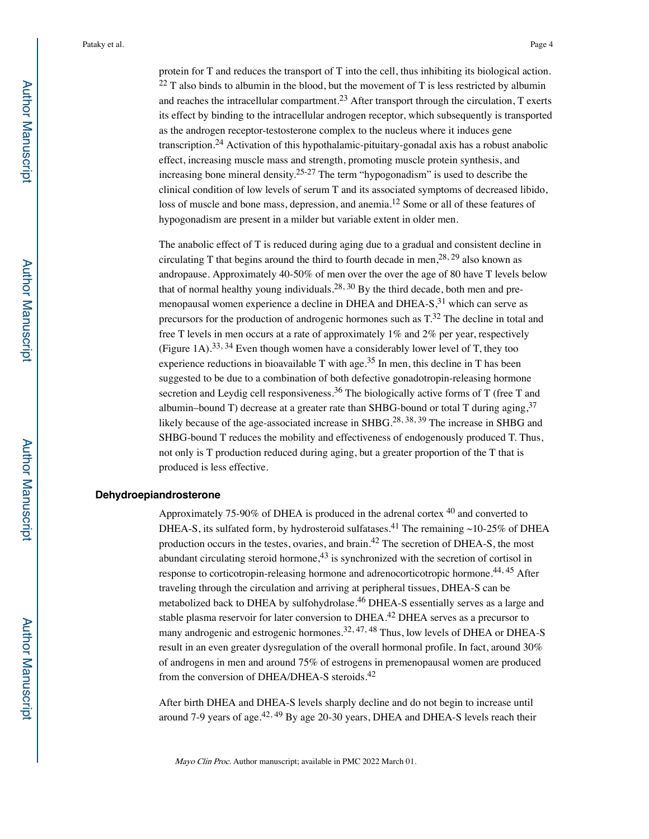protein for T and reduces the transport of T into the cell, thus inhibiting its biological action.  $^{22}$  T also binds to albumin in the blood, but the movement of T is less restricted by albumin and reaches the intracellular compartment.<sup>23</sup> After transport through the circulation,  $T$  exerts its effect by binding to the intracellular androgen receptor, which subsequently is transported as the androgen receptor-testosterone complex to the nucleus where it induces gene transcription.24 Activation of this hypothalamic-pituitary-gonadal axis has a robust anabolic effect, increasing muscle mass and strength, promoting muscle protein synthesis, and increasing bone mineral density.25-27 The term "hypogonadism" is used to describe the clinical condition of low levels of serum T and its associated symptoms of decreased libido, loss of muscle and bone mass, depression, and anemia.<sup>12</sup> Some or all of these features of hypogonadism are present in a milder but variable extent in older men.

The anabolic effect of T is reduced during aging due to a gradual and consistent decline in circulating T that begins around the third to fourth decade in men,  $28, 29$  also known as andropause. Approximately 40-50% of men over the over the age of 80 have T levels below that of normal healthy young individuals.<sup>28, 30</sup> By the third decade, both men and premenopausal women experience a decline in DHEA and DHEA- $S<sub>31</sub>$  which can serve as precursors for the production of androgenic hormones such as T.32 The decline in total and free T levels in men occurs at a rate of approximately 1% and 2% per year, respectively (Figure 1A).<sup>33, 34</sup> Even though women have a considerably lower level of T, they too experience reductions in bioavailable T with age.<sup>35</sup> In men, this decline in T has been suggested to be due to a combination of both defective gonadotropin-releasing hormone secretion and Leydig cell responsiveness.<sup>36</sup> The biologically active forms of  $T$  (free  $T$  and albumin–bound T) decrease at a greater rate than SHBG-bound or total T during aging,  $37$ likely because of the age-associated increase in SHBG.<sup>28, 38, 39</sup> The increase in SHBG and SHBG-bound T reduces the mobility and effectiveness of endogenously produced T. Thus, not only is T production reduced during aging, but a greater proportion of the T that is produced is less effective.

## **Dehydroepiandrosterone**

Approximately 75-90% of DHEA is produced in the adrenal cortex 40 and converted to DHEA-S, its sulfated form, by hydrosteroid sulfatases.<sup>41</sup> The remaining ~10-25% of DHEA production occurs in the testes, ovaries, and brain.42 The secretion of DHEA-S, the most abundant circulating steroid hormone, $43$  is synchronized with the secretion of cortisol in response to corticotropin-releasing hormone and adrenocorticotropic hormone.<sup>44, 45</sup> After traveling through the circulation and arriving at peripheral tissues, DHEA-S can be metabolized back to DHEA by sulfohydrolase.46 DHEA-S essentially serves as a large and stable plasma reservoir for later conversion to  $DHEA<sup>42</sup> DHEA$  serves as a precursor to many androgenic and estrogenic hormones.<sup>32, 47, 48</sup> Thus, low levels of DHEA or DHEA-S result in an even greater dysregulation of the overall hormonal profile. In fact, around 30% of androgens in men and around 75% of estrogens in premenopausal women are produced from the conversion of DHEA/DHEA-S steroids.42

After birth DHEA and DHEA-S levels sharply decline and do not begin to increase until around 7-9 years of age. $42,49$  By age 20-30 years, DHEA and DHEA-S levels reach their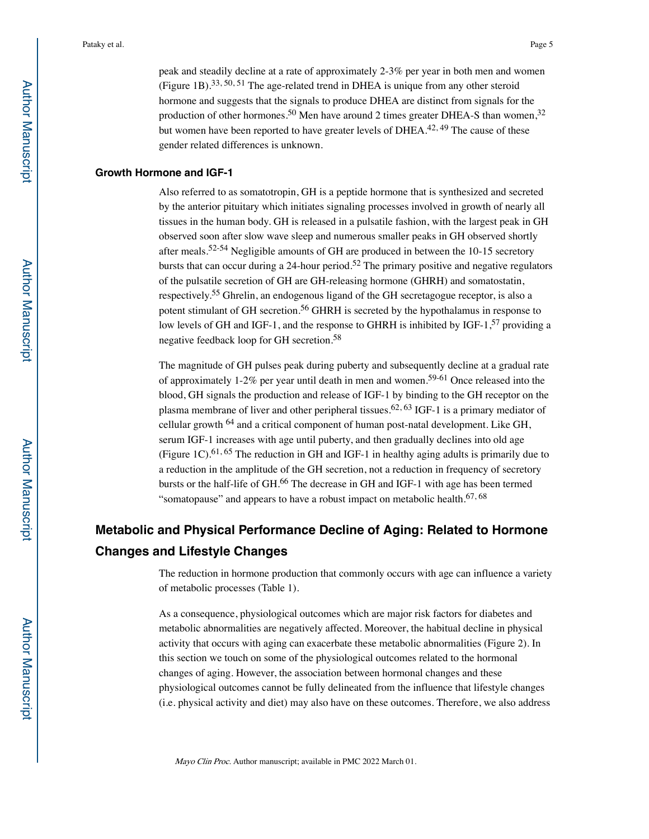peak and steadily decline at a rate of approximately 2-3% per year in both men and women (Figure 1B).<sup>33, 50, 51</sup> The age-related trend in DHEA is unique from any other steroid hormone and suggests that the signals to produce DHEA are distinct from signals for the production of other hormones.<sup>50</sup> Men have around 2 times greater DHEA-S than women,<sup>32</sup> but women have been reported to have greater levels of  $DHEA<sup>42, 49</sup>$  The cause of these gender related differences is unknown.

### **Growth Hormone and IGF-1**

Also referred to as somatotropin, GH is a peptide hormone that is synthesized and secreted by the anterior pituitary which initiates signaling processes involved in growth of nearly all tissues in the human body. GH is released in a pulsatile fashion, with the largest peak in GH observed soon after slow wave sleep and numerous smaller peaks in GH observed shortly after meals.52-54 Negligible amounts of GH are produced in between the 10-15 secretory bursts that can occur during a 24-hour period.<sup>52</sup> The primary positive and negative regulators of the pulsatile secretion of GH are GH-releasing hormone (GHRH) and somatostatin, respectively.55 Ghrelin, an endogenous ligand of the GH secretagogue receptor, is also a potent stimulant of GH secretion.<sup>56</sup> GHRH is secreted by the hypothalamus in response to low levels of GH and IGF-1, and the response to GHRH is inhibited by IGF-1,<sup>57</sup> providing a negative feedback loop for GH secretion.58

The magnitude of GH pulses peak during puberty and subsequently decline at a gradual rate of approximately 1-2% per year until death in men and women.<sup>59-61</sup> Once released into the blood, GH signals the production and release of IGF-1 by binding to the GH receptor on the plasma membrane of liver and other peripheral tissues.<sup>62, 63</sup> IGF-1 is a primary mediator of cellular growth 64 and a critical component of human post-natal development. Like GH, serum IGF-1 increases with age until puberty, and then gradually declines into old age (Figure 1C).<sup>61, 65</sup> The reduction in GH and IGF-1 in healthy aging adults is primarily due to a reduction in the amplitude of the GH secretion, not a reduction in frequency of secretory bursts or the half-life of GH.<sup>66</sup> The decrease in GH and IGF-1 with age has been termed "somatopause" and appears to have a robust impact on metabolic health. $67, 68$ 

# **Metabolic and Physical Performance Decline of Aging: Related to Hormone Changes and Lifestyle Changes**

The reduction in hormone production that commonly occurs with age can influence a variety of metabolic processes (Table 1).

As a consequence, physiological outcomes which are major risk factors for diabetes and metabolic abnormalities are negatively affected. Moreover, the habitual decline in physical activity that occurs with aging can exacerbate these metabolic abnormalities (Figure 2). In this section we touch on some of the physiological outcomes related to the hormonal changes of aging. However, the association between hormonal changes and these physiological outcomes cannot be fully delineated from the influence that lifestyle changes (i.e. physical activity and diet) may also have on these outcomes. Therefore, we also address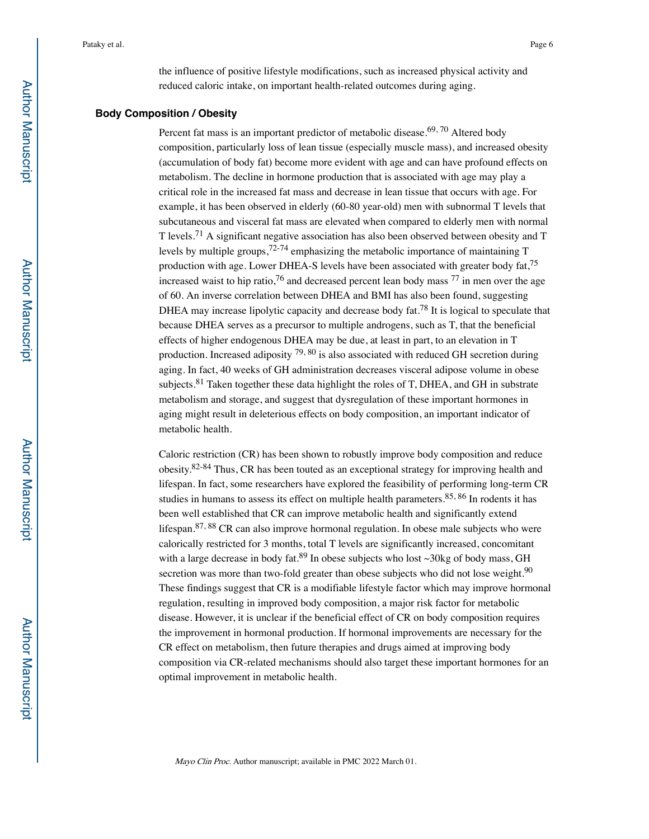the influence of positive lifestyle modifications, such as increased physical activity and reduced caloric intake, on important health-related outcomes during aging.

### **Body Composition / Obesity**

Percent fat mass is an important predictor of metabolic disease.<sup>69, 70</sup> Altered body composition, particularly loss of lean tissue (especially muscle mass), and increased obesity (accumulation of body fat) become more evident with age and can have profound effects on metabolism. The decline in hormone production that is associated with age may play a critical role in the increased fat mass and decrease in lean tissue that occurs with age. For example, it has been observed in elderly (60-80 year-old) men with subnormal T levels that subcutaneous and visceral fat mass are elevated when compared to elderly men with normal T levels.71 A significant negative association has also been observed between obesity and T levels by multiple groups,  $72-74$  emphasizing the metabolic importance of maintaining T production with age. Lower DHEA-S levels have been associated with greater body fat,75 increased waist to hip ratio,<sup>76</sup> and decreased percent lean body mass  $^{77}$  in men over the age of 60. An inverse correlation between DHEA and BMI has also been found, suggesting DHEA may increase lipolytic capacity and decrease body fat.<sup>78</sup> It is logical to speculate that because DHEA serves as a precursor to multiple androgens, such as T, that the beneficial effects of higher endogenous DHEA may be due, at least in part, to an elevation in T production. Increased adiposity  $^{79, 80}$  is also associated with reduced GH secretion during aging. In fact, 40 weeks of GH administration decreases visceral adipose volume in obese subjects.<sup>81</sup> Taken together these data highlight the roles of T, DHEA, and GH in substrate metabolism and storage, and suggest that dysregulation of these important hormones in aging might result in deleterious effects on body composition, an important indicator of metabolic health.

Caloric restriction (CR) has been shown to robustly improve body composition and reduce obesity.82-84 Thus, CR has been touted as an exceptional strategy for improving health and lifespan. In fact, some researchers have explored the feasibility of performing long-term CR studies in humans to assess its effect on multiple health parameters.  $85, 86$  In rodents it has been well established that CR can improve metabolic health and significantly extend lifespan.<sup>87, 88</sup> CR can also improve hormonal regulation. In obese male subjects who were calorically restricted for 3 months, total T levels are significantly increased, concomitant with a large decrease in body fat.<sup>89</sup> In obese subjects who lost  $\sim$ 30kg of body mass, GH secretion was more than two-fold greater than obese subjects who did not lose weight.<sup>90</sup> These findings suggest that CR is a modifiable lifestyle factor which may improve hormonal regulation, resulting in improved body composition, a major risk factor for metabolic disease. However, it is unclear if the beneficial effect of CR on body composition requires the improvement in hormonal production. If hormonal improvements are necessary for the CR effect on metabolism, then future therapies and drugs aimed at improving body composition via CR-related mechanisms should also target these important hormones for an optimal improvement in metabolic health.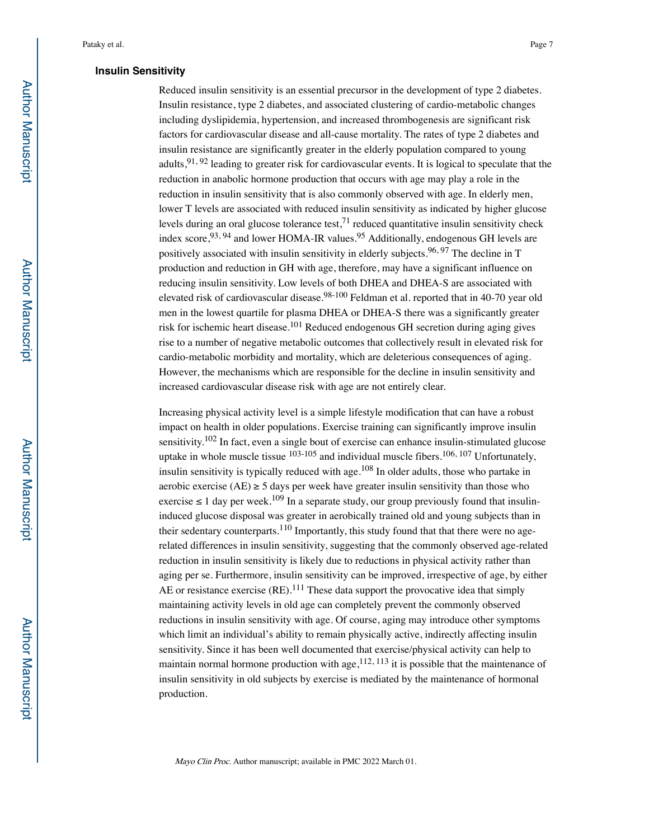### **Insulin Sensitivity**

Reduced insulin sensitivity is an essential precursor in the development of type 2 diabetes. Insulin resistance, type 2 diabetes, and associated clustering of cardio-metabolic changes including dyslipidemia, hypertension, and increased thrombogenesis are significant risk factors for cardiovascular disease and all-cause mortality. The rates of type 2 diabetes and insulin resistance are significantly greater in the elderly population compared to young adults,  $91, 92$  leading to greater risk for cardiovascular events. It is logical to speculate that the reduction in anabolic hormone production that occurs with age may play a role in the reduction in insulin sensitivity that is also commonly observed with age. In elderly men, lower T levels are associated with reduced insulin sensitivity as indicated by higher glucose levels during an oral glucose tolerance test, $7<sup>1</sup>$  reduced quantitative insulin sensitivity check index score,  $93, 94$  and lower HOMA-IR values.  $95$  Additionally, endogenous GH levels are positively associated with insulin sensitivity in elderly subjects.<sup>96, 97</sup> The decline in T production and reduction in GH with age, therefore, may have a significant influence on reducing insulin sensitivity. Low levels of both DHEA and DHEA-S are associated with elevated risk of cardiovascular disease.<sup>98-100</sup> Feldman et al. reported that in 40-70 year old men in the lowest quartile for plasma DHEA or DHEA-S there was a significantly greater risk for ischemic heart disease.<sup>101</sup> Reduced endogenous GH secretion during aging gives rise to a number of negative metabolic outcomes that collectively result in elevated risk for cardio-metabolic morbidity and mortality, which are deleterious consequences of aging. However, the mechanisms which are responsible for the decline in insulin sensitivity and increased cardiovascular disease risk with age are not entirely clear.

Increasing physical activity level is a simple lifestyle modification that can have a robust impact on health in older populations. Exercise training can significantly improve insulin sensitivity.<sup>102</sup> In fact, even a single bout of exercise can enhance insulin-stimulated glucose uptake in whole muscle tissue  $103-105$  and individual muscle fibers.  $106, 107$  Unfortunately, insulin sensitivity is typically reduced with age.108 In older adults, those who partake in aerobic exercise (AE)  $\ge$  5 days per week have greater insulin sensitivity than those who exercise  $\leq 1$  day per week.<sup>109</sup> In a separate study, our group previously found that insulininduced glucose disposal was greater in aerobically trained old and young subjects than in their sedentary counterparts.<sup>110</sup> Importantly, this study found that that there were no agerelated differences in insulin sensitivity, suggesting that the commonly observed age-related reduction in insulin sensitivity is likely due to reductions in physical activity rather than aging per se. Furthermore, insulin sensitivity can be improved, irrespective of age, by either AE or resistance exercise  $(RE)$ .<sup>111</sup> These data support the provocative idea that simply maintaining activity levels in old age can completely prevent the commonly observed reductions in insulin sensitivity with age. Of course, aging may introduce other symptoms which limit an individual's ability to remain physically active, indirectly affecting insulin sensitivity. Since it has been well documented that exercise/physical activity can help to maintain normal hormone production with age,  $112, 113$  it is possible that the maintenance of insulin sensitivity in old subjects by exercise is mediated by the maintenance of hormonal production.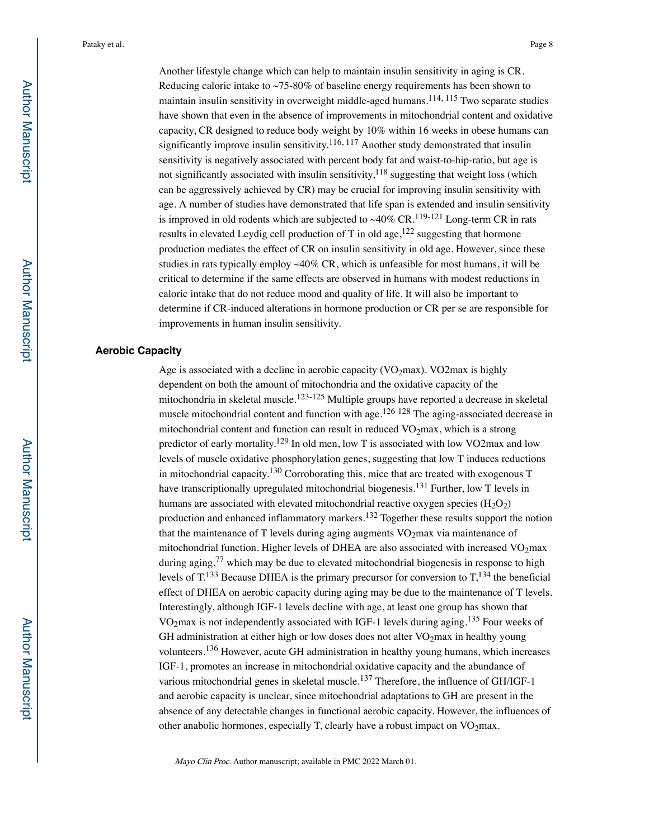Another lifestyle change which can help to maintain insulin sensitivity in aging is CR. Reducing caloric intake to  $\sim$  75-80% of baseline energy requirements has been shown to maintain insulin sensitivity in overweight middle-aged humans.114, 115 Two separate studies have shown that even in the absence of improvements in mitochondrial content and oxidative capacity, CR designed to reduce body weight by 10% within 16 weeks in obese humans can significantly improve insulin sensitivity.<sup>116, 117</sup> Another study demonstrated that insulin sensitivity is negatively associated with percent body fat and waist-to-hip-ratio, but age is not significantly associated with insulin sensitivity, $118$  suggesting that weight loss (which can be aggressively achieved by CR) may be crucial for improving insulin sensitivity with age. A number of studies have demonstrated that life span is extended and insulin sensitivity is improved in old rodents which are subjected to  $~40\%$  CR.<sup>119-121</sup> Long-term CR in rats results in elevated Leydig cell production of T in old age,  $122$  suggesting that hormone production mediates the effect of CR on insulin sensitivity in old age. However, since these studies in rats typically employ  $\sim 40\%$  CR, which is unfeasible for most humans, it will be critical to determine if the same effects are observed in humans with modest reductions in caloric intake that do not reduce mood and quality of life. It will also be important to determine if CR-induced alterations in hormone production or CR per se are responsible for improvements in human insulin sensitivity.

## **Aerobic Capacity**

Age is associated with a decline in aerobic capacity ( $VO<sub>2</sub>max$ ). VO2max is highly dependent on both the amount of mitochondria and the oxidative capacity of the mitochondria in skeletal muscle.<sup>123-125</sup> Multiple groups have reported a decrease in skeletal muscle mitochondrial content and function with age.<sup>126-128</sup> The aging-associated decrease in mitochondrial content and function can result in reduced  $VO<sub>2</sub>$ max, which is a strong predictor of early mortality.<sup>129</sup> In old men, low T is associated with low VO2max and low levels of muscle oxidative phosphorylation genes, suggesting that low T induces reductions in mitochondrial capacity.130 Corroborating this, mice that are treated with exogenous T have transcriptionally upregulated mitochondrial biogenesis.<sup>131</sup> Further, low T levels in humans are associated with elevated mitochondrial reactive oxygen species  $(H_2O_2)$ production and enhanced inflammatory markers.132 Together these results support the notion that the maintenance of T levels during aging augments  $VO<sub>2</sub>$ max via maintenance of mitochondrial function. Higher levels of DHEA are also associated with increased  $VO<sub>2</sub>$ max during aging, $77$  which may be due to elevated mitochondrial biogenesis in response to high levels of  $T^{133}$  Because DHEA is the primary precursor for conversion to  $T^{134}$ , the beneficial effect of DHEA on aerobic capacity during aging may be due to the maintenance of T levels. Interestingly, although IGF-1 levels decline with age, at least one group has shown that VO<sub>2</sub>max is not independently associated with IGF-1 levels during aging.<sup>135</sup> Four weeks of GH administration at either high or low doses does not alter  $VO<sub>2</sub>$  max in healthy young volunteers.136 However, acute GH administration in healthy young humans, which increases IGF-1, promotes an increase in mitochondrial oxidative capacity and the abundance of various mitochondrial genes in skeletal muscle.<sup>137</sup> Therefore, the influence of GH/IGF-1 and aerobic capacity is unclear, since mitochondrial adaptations to GH are present in the absence of any detectable changes in functional aerobic capacity. However, the influences of other anabolic hormones, especially T, clearly have a robust impact on  $VO<sub>2</sub>$ max.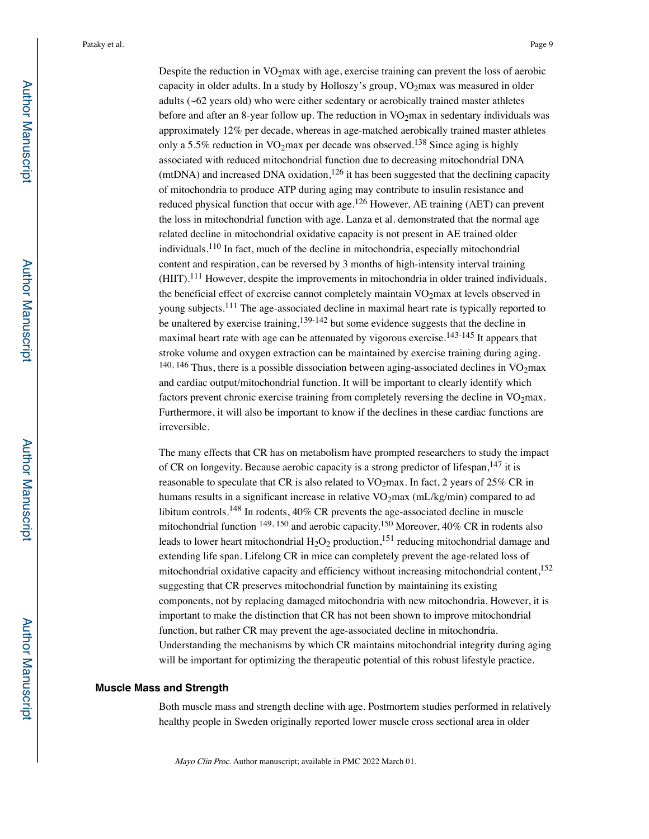Despite the reduction in  $VO<sub>2</sub>$  max with age, exercise training can prevent the loss of aerobic capacity in older adults. In a study by Holloszy's group,  $VO<sub>2</sub>$  max was measured in older adults (~62 years old) who were either sedentary or aerobically trained master athletes before and after an 8-year follow up. The reduction in  $VO<sub>2</sub>max$  in sedentary individuals was approximately 12% per decade, whereas in age-matched aerobically trained master athletes only a 5.5% reduction in  $VO<sub>2</sub>max$  per decade was observed.<sup>138</sup> Since aging is highly associated with reduced mitochondrial function due to decreasing mitochondrial DNA (mtDNA) and increased DNA oxidation,<sup>126</sup> it has been suggested that the declining capacity of mitochondria to produce ATP during aging may contribute to insulin resistance and reduced physical function that occur with age.<sup>126</sup> However, AE training (AET) can prevent the loss in mitochondrial function with age. Lanza et al. demonstrated that the normal age related decline in mitochondrial oxidative capacity is not present in AE trained older individuals.110 In fact, much of the decline in mitochondria, especially mitochondrial content and respiration, can be reversed by 3 months of high-intensity interval training (HIIT).111 However, despite the improvements in mitochondria in older trained individuals, the beneficial effect of exercise cannot completely maintain  $VO<sub>2</sub>$ max at levels observed in young subjects.<sup>111</sup> The age-associated decline in maximal heart rate is typically reported to be unaltered by exercise training,<sup>139-142</sup> but some evidence suggests that the decline in maximal heart rate with age can be attenuated by vigorous exercise.<sup>143-145</sup> It appears that stroke volume and oxygen extraction can be maintained by exercise training during aging. <sup>140, 146</sup> Thus, there is a possible dissociation between aging-associated declines in VO<sub>2</sub>max and cardiac output/mitochondrial function. It will be important to clearly identify which factors prevent chronic exercise training from completely reversing the decline in  $VO<sub>2</sub>max$ . Furthermore, it will also be important to know if the declines in these cardiac functions are irreversible.

The many effects that CR has on metabolism have prompted researchers to study the impact of CR on longevity. Because aerobic capacity is a strong predictor of lifespan,  $147$  it is reasonable to speculate that CR is also related to  $VO<sub>2</sub>max$ . In fact, 2 years of 25% CR in humans results in a significant increase in relative  $VO<sub>2</sub>max (mL/kg/min)$  compared to ad libitum controls.<sup>148</sup> In rodents, 40% CR prevents the age-associated decline in muscle mitochondrial function 149, 150 and aerobic capacity.150 Moreover, 40% CR in rodents also leads to lower heart mitochondrial  $H_2O_2$  production,<sup>151</sup> reducing mitochondrial damage and extending life span. Lifelong CR in mice can completely prevent the age-related loss of mitochondrial oxidative capacity and efficiency without increasing mitochondrial content,<sup>152</sup> suggesting that CR preserves mitochondrial function by maintaining its existing components, not by replacing damaged mitochondria with new mitochondria. However, it is important to make the distinction that CR has not been shown to improve mitochondrial function, but rather CR may prevent the age-associated decline in mitochondria. Understanding the mechanisms by which CR maintains mitochondrial integrity during aging will be important for optimizing the therapeutic potential of this robust lifestyle practice.

### **Muscle Mass and Strength**

Both muscle mass and strength decline with age. Postmortem studies performed in relatively healthy people in Sweden originally reported lower muscle cross sectional area in older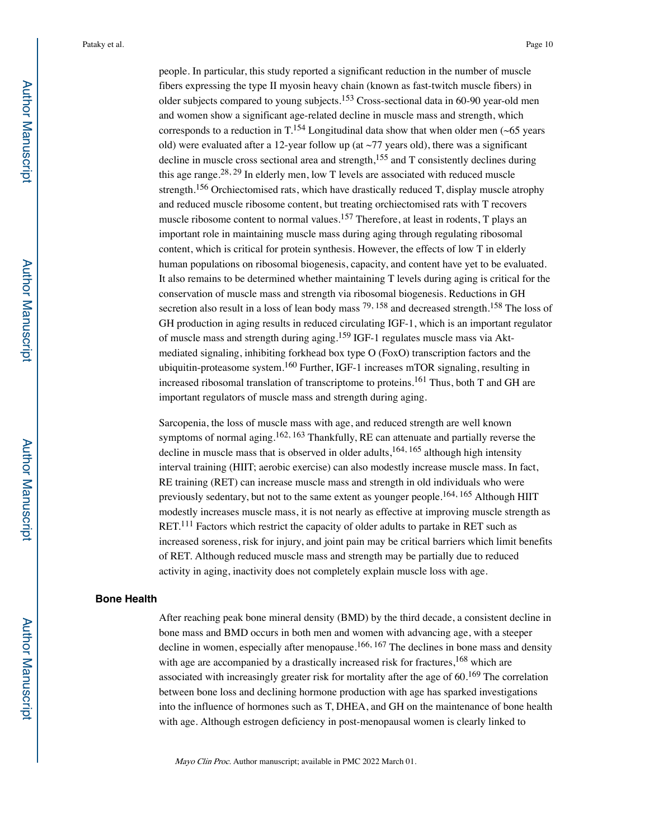people. In particular, this study reported a significant reduction in the number of muscle fibers expressing the type II myosin heavy chain (known as fast-twitch muscle fibers) in older subjects compared to young subjects.153 Cross-sectional data in 60-90 year-old men and women show a significant age-related decline in muscle mass and strength, which corresponds to a reduction in  $T^{154}$  Longitudinal data show that when older men (~65 years old) were evaluated after a 12-year follow up (at  $\sim$ 77 years old), there was a significant decline in muscle cross sectional area and strength, $155$  and T consistently declines during this age range.<sup>28, 29</sup> In elderly men, low T levels are associated with reduced muscle strength.156 Orchiectomised rats, which have drastically reduced T, display muscle atrophy and reduced muscle ribosome content, but treating orchiectomised rats with T recovers muscle ribosome content to normal values.<sup>157</sup> Therefore, at least in rodents,  $T$  plays an important role in maintaining muscle mass during aging through regulating ribosomal content, which is critical for protein synthesis. However, the effects of low T in elderly human populations on ribosomal biogenesis, capacity, and content have yet to be evaluated. It also remains to be determined whether maintaining T levels during aging is critical for the conservation of muscle mass and strength via ribosomal biogenesis. Reductions in GH secretion also result in a loss of lean body mass  $^{79, 158}$  and decreased strength.<sup>158</sup> The loss of GH production in aging results in reduced circulating IGF-1, which is an important regulator of muscle mass and strength during aging.159 IGF-1 regulates muscle mass via Aktmediated signaling, inhibiting forkhead box type O (FoxO) transcription factors and the ubiquitin-proteasome system.160 Further, IGF-1 increases mTOR signaling, resulting in increased ribosomal translation of transcriptome to proteins.<sup>161</sup> Thus, both T and GH are important regulators of muscle mass and strength during aging.

Sarcopenia, the loss of muscle mass with age, and reduced strength are well known symptoms of normal aging.<sup>162, 163</sup> Thankfully, RE can attenuate and partially reverse the decline in muscle mass that is observed in older adults,  $164, 165$  although high intensity interval training (HIIT; aerobic exercise) can also modestly increase muscle mass. In fact, RE training (RET) can increase muscle mass and strength in old individuals who were previously sedentary, but not to the same extent as younger people.<sup>164, 165</sup> Although HIIT modestly increases muscle mass, it is not nearly as effective at improving muscle strength as RET.<sup>111</sup> Factors which restrict the capacity of older adults to partake in RET such as increased soreness, risk for injury, and joint pain may be critical barriers which limit benefits of RET. Although reduced muscle mass and strength may be partially due to reduced activity in aging, inactivity does not completely explain muscle loss with age.

#### **Bone Health**

After reaching peak bone mineral density (BMD) by the third decade, a consistent decline in bone mass and BMD occurs in both men and women with advancing age, with a steeper decline in women, especially after menopause.<sup>166, 167</sup> The declines in bone mass and density with age are accompanied by a drastically increased risk for fractures,<sup>168</sup> which are associated with increasingly greater risk for mortality after the age of  $60$ .<sup>169</sup> The correlation between bone loss and declining hormone production with age has sparked investigations into the influence of hormones such as T, DHEA, and GH on the maintenance of bone health with age. Although estrogen deficiency in post-menopausal women is clearly linked to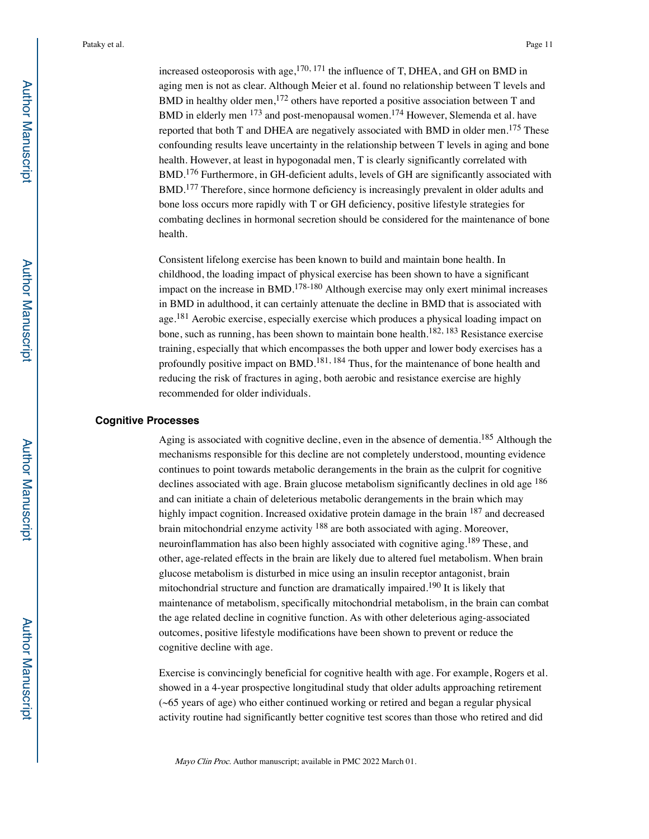increased osteoporosis with age, $1^{70, 171}$  the influence of T, DHEA, and GH on BMD in aging men is not as clear. Although Meier et al. found no relationship between T levels and BMD in healthy older men,<sup>172</sup> others have reported a positive association between T and BMD in elderly men <sup>173</sup> and post-menopausal women.<sup>174</sup> However, Slemenda et al. have reported that both T and DHEA are negatively associated with BMD in older men.<sup>175</sup> These confounding results leave uncertainty in the relationship between T levels in aging and bone health. However, at least in hypogonadal men, T is clearly significantly correlated with BMD.176 Furthermore, in GH-deficient adults, levels of GH are significantly associated with BMD.177 Therefore, since hormone deficiency is increasingly prevalent in older adults and bone loss occurs more rapidly with T or GH deficiency, positive lifestyle strategies for combating declines in hormonal secretion should be considered for the maintenance of bone health.

Consistent lifelong exercise has been known to build and maintain bone health. In childhood, the loading impact of physical exercise has been shown to have a significant impact on the increase in BMD.<sup>178-180</sup> Although exercise may only exert minimal increases in BMD in adulthood, it can certainly attenuate the decline in BMD that is associated with age.<sup>181</sup> Aerobic exercise, especially exercise which produces a physical loading impact on bone, such as running, has been shown to maintain bone health.<sup>182, 183</sup> Resistance exercise training, especially that which encompasses the both upper and lower body exercises has a profoundly positive impact on BMD.<sup>181, 184</sup> Thus, for the maintenance of bone health and reducing the risk of fractures in aging, both aerobic and resistance exercise are highly recommended for older individuals.

#### **Cognitive Processes**

Aging is associated with cognitive decline, even in the absence of dementia.<sup>185</sup> Although the mechanisms responsible for this decline are not completely understood, mounting evidence continues to point towards metabolic derangements in the brain as the culprit for cognitive declines associated with age. Brain glucose metabolism significantly declines in old age <sup>186</sup> and can initiate a chain of deleterious metabolic derangements in the brain which may highly impact cognition. Increased oxidative protein damage in the brain <sup>187</sup> and decreased brain mitochondrial enzyme activity <sup>188</sup> are both associated with aging. Moreover, neuroinflammation has also been highly associated with cognitive aging.<sup>189</sup> These, and other, age-related effects in the brain are likely due to altered fuel metabolism. When brain glucose metabolism is disturbed in mice using an insulin receptor antagonist, brain mitochondrial structure and function are dramatically impaired.190 It is likely that maintenance of metabolism, specifically mitochondrial metabolism, in the brain can combat the age related decline in cognitive function. As with other deleterious aging-associated outcomes, positive lifestyle modifications have been shown to prevent or reduce the cognitive decline with age.

Exercise is convincingly beneficial for cognitive health with age. For example, Rogers et al. showed in a 4-year prospective longitudinal study that older adults approaching retirement (~65 years of age) who either continued working or retired and began a regular physical activity routine had significantly better cognitive test scores than those who retired and did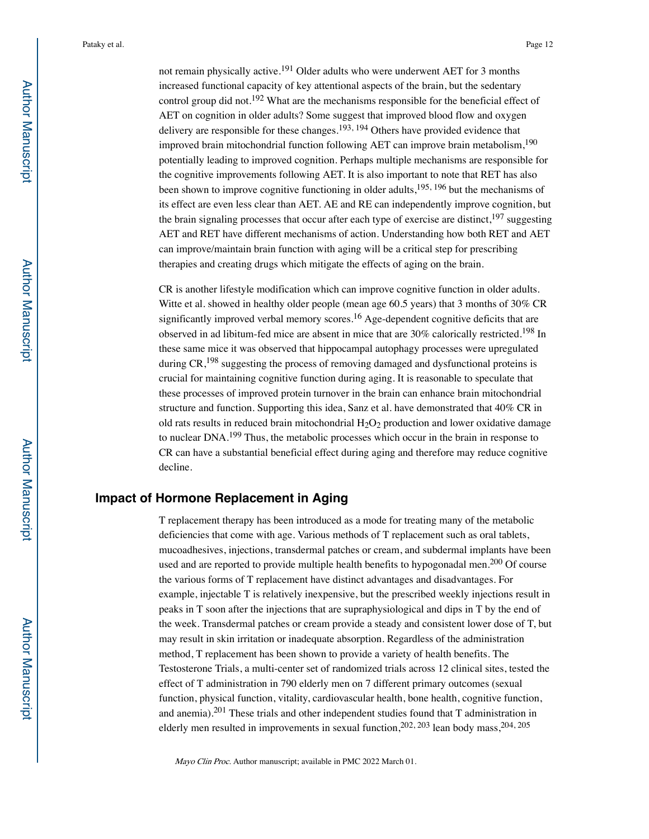not remain physically active.191 Older adults who were underwent AET for 3 months increased functional capacity of key attentional aspects of the brain, but the sedentary control group did not.192 What are the mechanisms responsible for the beneficial effect of AET on cognition in older adults? Some suggest that improved blood flow and oxygen delivery are responsible for these changes.<sup>193, 194</sup> Others have provided evidence that improved brain mitochondrial function following AET can improve brain metabolism,<sup>190</sup> potentially leading to improved cognition. Perhaps multiple mechanisms are responsible for the cognitive improvements following AET. It is also important to note that RET has also been shown to improve cognitive functioning in older adults,  $195, 196$  but the mechanisms of its effect are even less clear than AET. AE and RE can independently improve cognition, but the brain signaling processes that occur after each type of exercise are distinct,  $197$  suggesting AET and RET have different mechanisms of action. Understanding how both RET and AET can improve/maintain brain function with aging will be a critical step for prescribing therapies and creating drugs which mitigate the effects of aging on the brain.

CR is another lifestyle modification which can improve cognitive function in older adults. Witte et al. showed in healthy older people (mean age 60.5 years) that 3 months of 30% CR significantly improved verbal memory scores.<sup>16</sup> Age-dependent cognitive deficits that are observed in ad libitum-fed mice are absent in mice that are  $30\%$  calorically restricted.<sup>198</sup> In these same mice it was observed that hippocampal autophagy processes were upregulated during  $CR<sup>198</sup>$  suggesting the process of removing damaged and dysfunctional proteins is crucial for maintaining cognitive function during aging. It is reasonable to speculate that these processes of improved protein turnover in the brain can enhance brain mitochondrial structure and function. Supporting this idea, Sanz et al. have demonstrated that 40% CR in old rats results in reduced brain mitochondrial  $H_2O_2$  production and lower oxidative damage to nuclear DNA.199 Thus, the metabolic processes which occur in the brain in response to CR can have a substantial beneficial effect during aging and therefore may reduce cognitive decline.

# **Impact of Hormone Replacement in Aging**

T replacement therapy has been introduced as a mode for treating many of the metabolic deficiencies that come with age. Various methods of T replacement such as oral tablets, mucoadhesives, injections, transdermal patches or cream, and subdermal implants have been used and are reported to provide multiple health benefits to hypogonadal men.<sup>200</sup> Of course the various forms of T replacement have distinct advantages and disadvantages. For example, injectable T is relatively inexpensive, but the prescribed weekly injections result in peaks in T soon after the injections that are supraphysiological and dips in T by the end of the week. Transdermal patches or cream provide a steady and consistent lower dose of T, but may result in skin irritation or inadequate absorption. Regardless of the administration method, T replacement has been shown to provide a variety of health benefits. The Testosterone Trials, a multi-center set of randomized trials across 12 clinical sites, tested the effect of T administration in 790 elderly men on 7 different primary outcomes (sexual function, physical function, vitality, cardiovascular health, bone health, cognitive function, and anemia).201 These trials and other independent studies found that T administration in elderly men resulted in improvements in sexual function,  $202$ ,  $203$  lean body mass,  $204$ ,  $205$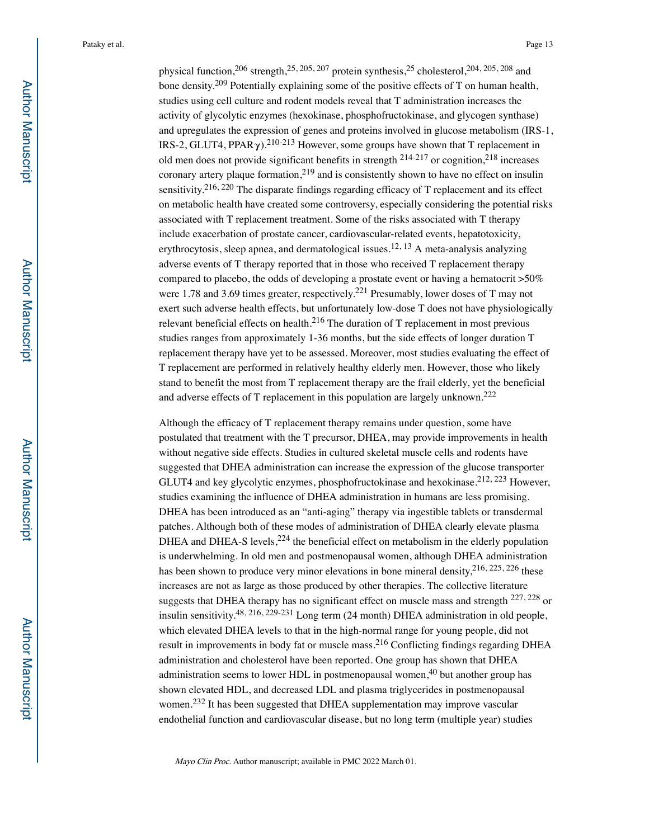physical function,<sup>206</sup> strength,<sup>25, 205, 207</sup> protein synthesis,<sup>25</sup> cholesterol,<sup>204, 205, 208</sup> and bone density.<sup>209</sup> Potentially explaining some of the positive effects of T on human health, studies using cell culture and rodent models reveal that T administration increases the activity of glycolytic enzymes (hexokinase, phosphofructokinase, and glycogen synthase) and upregulates the expression of genes and proteins involved in glucose metabolism (IRS-1, IRS-2, GLUT4, PPAR $\gamma$ ).<sup>210-213</sup> However, some groups have shown that T replacement in old men does not provide significant benefits in strength  $^{214-217}$  or cognition,  $^{218}$  increases coronary artery plaque formation,  $2^{19}$  and is consistently shown to have no effect on insulin sensitivity.<sup>216, 220</sup> The disparate findings regarding efficacy of T replacement and its effect on metabolic health have created some controversy, especially considering the potential risks associated with T replacement treatment. Some of the risks associated with T therapy include exacerbation of prostate cancer, cardiovascular-related events, hepatotoxicity, erythrocytosis, sleep apnea, and dermatological issues.<sup>12, 13</sup> A meta-analysis analyzing adverse events of T therapy reported that in those who received T replacement therapy compared to placebo, the odds of developing a prostate event or having a hematocrit >50% were 1.78 and 3.69 times greater, respectively.<sup>221</sup> Presumably, lower doses of T may not exert such adverse health effects, but unfortunately low-dose T does not have physiologically relevant beneficial effects on health.<sup>216</sup> The duration of T replacement in most previous studies ranges from approximately 1-36 months, but the side effects of longer duration T replacement therapy have yet to be assessed. Moreover, most studies evaluating the effect of T replacement are performed in relatively healthy elderly men. However, those who likely stand to benefit the most from T replacement therapy are the frail elderly, yet the beneficial and adverse effects of T replacement in this population are largely unknown.<sup>222</sup>

Although the efficacy of T replacement therapy remains under question, some have postulated that treatment with the T precursor, DHEA, may provide improvements in health without negative side effects. Studies in cultured skeletal muscle cells and rodents have suggested that DHEA administration can increase the expression of the glucose transporter GLUT4 and key glycolytic enzymes, phosphofructokinase and hexokinase.<sup>212, 223</sup> However, studies examining the influence of DHEA administration in humans are less promising. DHEA has been introduced as an "anti-aging" therapy via ingestible tablets or transdermal patches. Although both of these modes of administration of DHEA clearly elevate plasma DHEA and DHEA-S levels,  $224$  the beneficial effect on metabolism in the elderly population is underwhelming. In old men and postmenopausal women, although DHEA administration has been shown to produce very minor elevations in bone mineral density, <sup>216, 225, 226</sup> these increases are not as large as those produced by other therapies. The collective literature suggests that DHEA therapy has no significant effect on muscle mass and strength <sup>227, 228</sup> or insulin sensitivity.48, 216, 229-231 Long term (24 month) DHEA administration in old people, which elevated DHEA levels to that in the high-normal range for young people, did not result in improvements in body fat or muscle mass.<sup>216</sup> Conflicting findings regarding DHEA administration and cholesterol have been reported. One group has shown that DHEA administration seems to lower HDL in postmenopausal women, $40$  but another group has shown elevated HDL, and decreased LDL and plasma triglycerides in postmenopausal women.<sup>232</sup> It has been suggested that DHEA supplementation may improve vascular endothelial function and cardiovascular disease, but no long term (multiple year) studies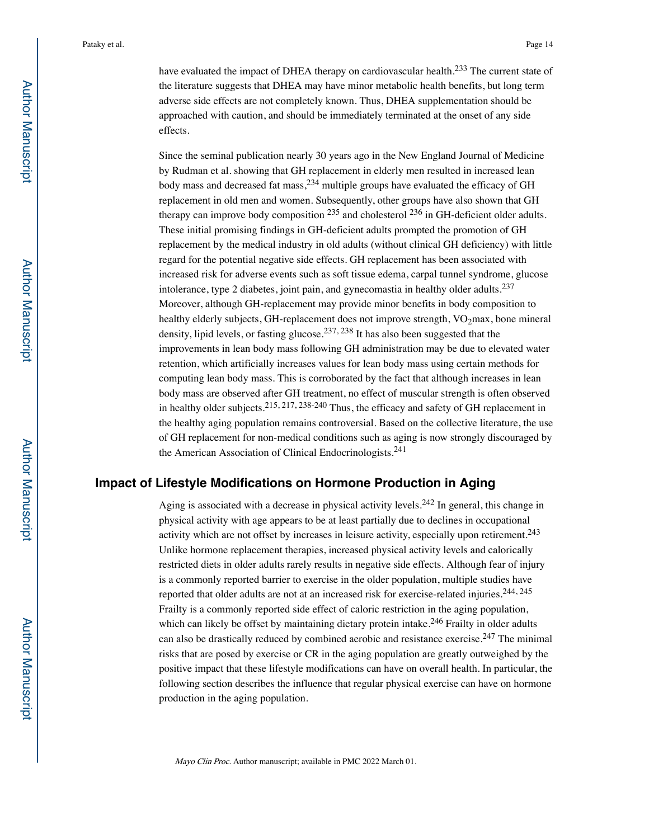have evaluated the impact of DHEA therapy on cardiovascular health.<sup>233</sup> The current state of the literature suggests that DHEA may have minor metabolic health benefits, but long term adverse side effects are not completely known. Thus, DHEA supplementation should be approached with caution, and should be immediately terminated at the onset of any side effects.

Since the seminal publication nearly 30 years ago in the New England Journal of Medicine by Rudman et al. showing that GH replacement in elderly men resulted in increased lean body mass and decreased fat mass, <sup>234</sup> multiple groups have evaluated the efficacy of GH replacement in old men and women. Subsequently, other groups have also shown that GH therapy can improve body composition  $^{235}$  and cholesterol  $^{236}$  in GH-deficient older adults. These initial promising findings in GH-deficient adults prompted the promotion of GH replacement by the medical industry in old adults (without clinical GH deficiency) with little regard for the potential negative side effects. GH replacement has been associated with increased risk for adverse events such as soft tissue edema, carpal tunnel syndrome, glucose intolerance, type 2 diabetes, joint pain, and gynecomastia in healthy older adults. $237$ Moreover, although GH-replacement may provide minor benefits in body composition to healthy elderly subjects, GH-replacement does not improve strength, VO<sub>2</sub>max, bone mineral density, lipid levels, or fasting glucose.<sup>237, 238</sup> It has also been suggested that the improvements in lean body mass following GH administration may be due to elevated water retention, which artificially increases values for lean body mass using certain methods for computing lean body mass. This is corroborated by the fact that although increases in lean body mass are observed after GH treatment, no effect of muscular strength is often observed in healthy older subjects.215, 217, 238-240 Thus, the efficacy and safety of GH replacement in the healthy aging population remains controversial. Based on the collective literature, the use of GH replacement for non-medical conditions such as aging is now strongly discouraged by the American Association of Clinical Endocrinologists.241

# **Impact of Lifestyle Modifications on Hormone Production in Aging**

Aging is associated with a decrease in physical activity levels.<sup>242</sup> In general, this change in physical activity with age appears to be at least partially due to declines in occupational activity which are not offset by increases in leisure activity, especially upon retirement.<sup>243</sup> Unlike hormone replacement therapies, increased physical activity levels and calorically restricted diets in older adults rarely results in negative side effects. Although fear of injury is a commonly reported barrier to exercise in the older population, multiple studies have reported that older adults are not at an increased risk for exercise-related injuries.<sup>244, 245</sup> Frailty is a commonly reported side effect of caloric restriction in the aging population, which can likely be offset by maintaining dietary protein intake.<sup>246</sup> Frailty in older adults can also be drastically reduced by combined aerobic and resistance exercise.<sup>247</sup> The minimal risks that are posed by exercise or CR in the aging population are greatly outweighed by the positive impact that these lifestyle modifications can have on overall health. In particular, the following section describes the influence that regular physical exercise can have on hormone production in the aging population.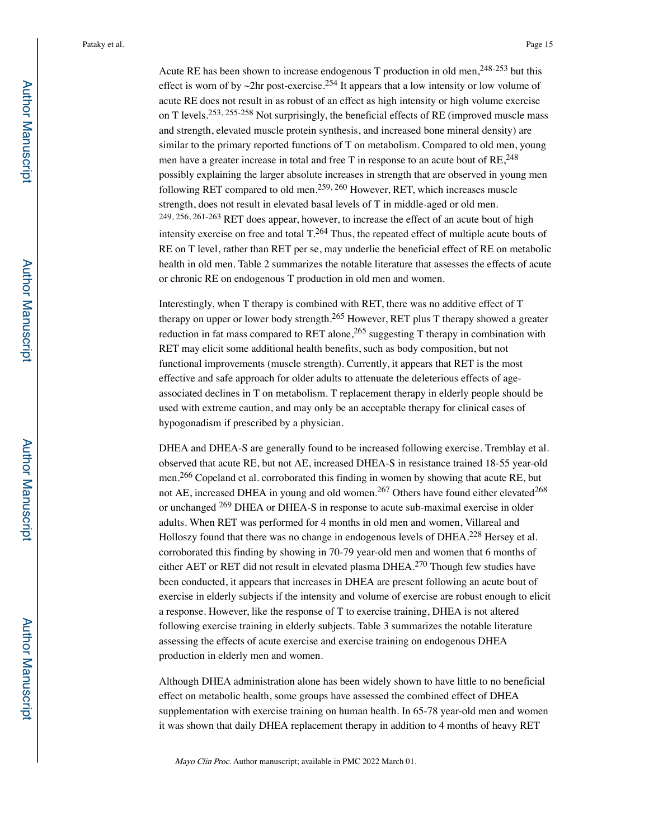Acute RE has been shown to increase endogenous T production in old men,  $248-253$  but this effect is worn of by  $\sim$ 2hr post-exercise.<sup>254</sup> It appears that a low intensity or low volume of acute RE does not result in as robust of an effect as high intensity or high volume exercise on T levels.<sup>253, 255-258</sup> Not surprisingly, the beneficial effects of RE (improved muscle mass and strength, elevated muscle protein synthesis, and increased bone mineral density) are similar to the primary reported functions of T on metabolism. Compared to old men, young men have a greater increase in total and free T in response to an acute bout of  $RE^{248}$ possibly explaining the larger absolute increases in strength that are observed in young men following RET compared to old men.259, 260 However, RET, which increases muscle strength, does not result in elevated basal levels of T in middle-aged or old men. 249, 256, 261-263 RET does appear, however, to increase the effect of an acute bout of high intensity exercise on free and total  $T^{264}$ . Thus, the repeated effect of multiple acute bouts of RE on T level, rather than RET per se, may underlie the beneficial effect of RE on metabolic health in old men. Table 2 summarizes the notable literature that assesses the effects of acute or chronic RE on endogenous T production in old men and women.

Interestingly, when T therapy is combined with RET, there was no additive effect of T therapy on upper or lower body strength.<sup>265</sup> However, RET plus T therapy showed a greater reduction in fat mass compared to RET alone,  $265$  suggesting T therapy in combination with RET may elicit some additional health benefits, such as body composition, but not functional improvements (muscle strength). Currently, it appears that RET is the most effective and safe approach for older adults to attenuate the deleterious effects of ageassociated declines in T on metabolism. T replacement therapy in elderly people should be used with extreme caution, and may only be an acceptable therapy for clinical cases of hypogonadism if prescribed by a physician.

DHEA and DHEA-S are generally found to be increased following exercise. Tremblay et al. observed that acute RE, but not AE, increased DHEA-S in resistance trained 18-55 year-old men.266 Copeland et al. corroborated this finding in women by showing that acute RE, but not AE, increased DHEA in young and old women.<sup>267</sup> Others have found either elevated<sup>268</sup> or unchanged 269 DHEA or DHEA-S in response to acute sub-maximal exercise in older adults. When RET was performed for 4 months in old men and women, Villareal and Holloszy found that there was no change in endogenous levels of DHEA.<sup>228</sup> Hersey et al. corroborated this finding by showing in 70-79 year-old men and women that 6 months of either AET or RET did not result in elevated plasma DHEA.270 Though few studies have been conducted, it appears that increases in DHEA are present following an acute bout of exercise in elderly subjects if the intensity and volume of exercise are robust enough to elicit a response. However, like the response of T to exercise training, DHEA is not altered following exercise training in elderly subjects. Table 3 summarizes the notable literature assessing the effects of acute exercise and exercise training on endogenous DHEA production in elderly men and women.

Although DHEA administration alone has been widely shown to have little to no beneficial effect on metabolic health, some groups have assessed the combined effect of DHEA supplementation with exercise training on human health. In 65-78 year-old men and women it was shown that daily DHEA replacement therapy in addition to 4 months of heavy RET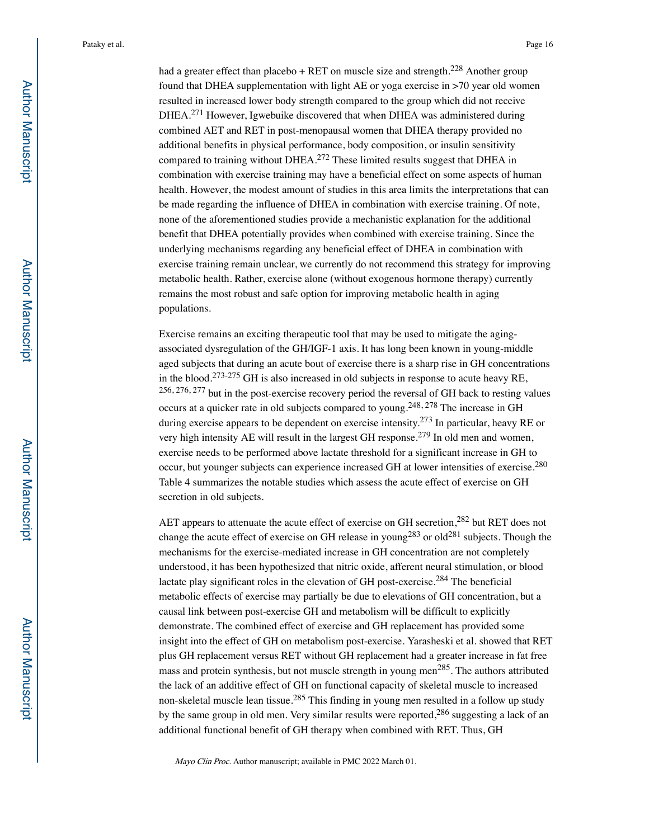had a greater effect than placebo + RET on muscle size and strength.<sup>228</sup> Another group found that DHEA supplementation with light AE or yoga exercise in >70 year old women resulted in increased lower body strength compared to the group which did not receive DHEA.<sup>271</sup> However, Igwebuike discovered that when DHEA was administered during combined AET and RET in post-menopausal women that DHEA therapy provided no additional benefits in physical performance, body composition, or insulin sensitivity compared to training without DHEA.<sup>272</sup> These limited results suggest that DHEA in combination with exercise training may have a beneficial effect on some aspects of human health. However, the modest amount of studies in this area limits the interpretations that can be made regarding the influence of DHEA in combination with exercise training. Of note, none of the aforementioned studies provide a mechanistic explanation for the additional benefit that DHEA potentially provides when combined with exercise training. Since the underlying mechanisms regarding any beneficial effect of DHEA in combination with exercise training remain unclear, we currently do not recommend this strategy for improving metabolic health. Rather, exercise alone (without exogenous hormone therapy) currently remains the most robust and safe option for improving metabolic health in aging populations.

Exercise remains an exciting therapeutic tool that may be used to mitigate the agingassociated dysregulation of the GH/IGF-1 axis. It has long been known in young-middle aged subjects that during an acute bout of exercise there is a sharp rise in GH concentrations in the blood.<sup>273-275</sup> GH is also increased in old subjects in response to acute heavy RE, 256, 276, 277 but in the post-exercise recovery period the reversal of GH back to resting values occurs at a quicker rate in old subjects compared to young.248, 278 The increase in GH during exercise appears to be dependent on exercise intensity.<sup>273</sup> In particular, heavy RE or very high intensity AE will result in the largest GH response.<sup>279</sup> In old men and women, exercise needs to be performed above lactate threshold for a significant increase in GH to occur, but younger subjects can experience increased GH at lower intensities of exercise.280 Table 4 summarizes the notable studies which assess the acute effect of exercise on GH secretion in old subjects.

AET appears to attenuate the acute effect of exercise on GH secretion,<sup>282</sup> but RET does not change the acute effect of exercise on GH release in young<sup>283</sup> or old<sup>281</sup> subjects. Though the mechanisms for the exercise-mediated increase in GH concentration are not completely understood, it has been hypothesized that nitric oxide, afferent neural stimulation, or blood lactate play significant roles in the elevation of GH post-exercise.<sup>284</sup> The beneficial metabolic effects of exercise may partially be due to elevations of GH concentration, but a causal link between post-exercise GH and metabolism will be difficult to explicitly demonstrate. The combined effect of exercise and GH replacement has provided some insight into the effect of GH on metabolism post-exercise. Yarasheski et al. showed that RET plus GH replacement versus RET without GH replacement had a greater increase in fat free mass and protein synthesis, but not muscle strength in young men<sup>285</sup>. The authors attributed the lack of an additive effect of GH on functional capacity of skeletal muscle to increased non-skeletal muscle lean tissue.<sup>285</sup> This finding in young men resulted in a follow up study by the same group in old men. Very similar results were reported,<sup>286</sup> suggesting a lack of an additional functional benefit of GH therapy when combined with RET. Thus, GH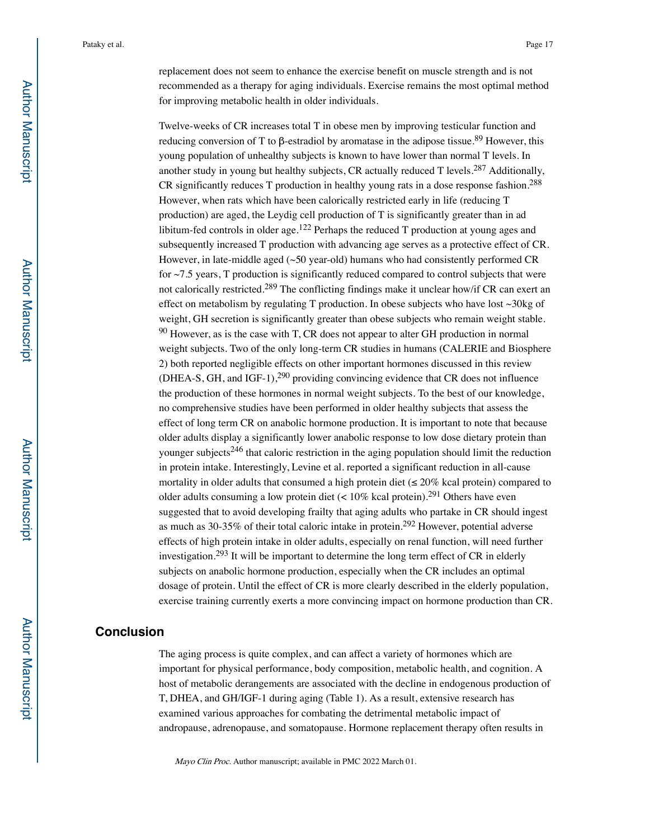replacement does not seem to enhance the exercise benefit on muscle strength and is not recommended as a therapy for aging individuals. Exercise remains the most optimal method for improving metabolic health in older individuals.

Twelve-weeks of CR increases total T in obese men by improving testicular function and reducing conversion of T to β-estradiol by aromatase in the adipose tissue.<sup>89</sup> However, this young population of unhealthy subjects is known to have lower than normal T levels. In another study in young but healthy subjects, CR actually reduced  $T$  levels.<sup>287</sup> Additionally, CR significantly reduces T production in healthy young rats in a dose response fashion.288 However, when rats which have been calorically restricted early in life (reducing T production) are aged, the Leydig cell production of T is significantly greater than in ad libitum-fed controls in older age.<sup>122</sup> Perhaps the reduced  $T$  production at young ages and subsequently increased T production with advancing age serves as a protective effect of CR. However, in late-middle aged  $(\sim 50 \text{ year-old})$  humans who had consistently performed CR for  $\sim$  7.5 years, T production is significantly reduced compared to control subjects that were not calorically restricted.<sup>289</sup> The conflicting findings make it unclear how/if CR can exert an effect on metabolism by regulating T production. In obese subjects who have lost ~30kg of weight, GH secretion is significantly greater than obese subjects who remain weight stable.  $90$  However, as is the case with T, CR does not appear to alter GH production in normal weight subjects. Two of the only long-term CR studies in humans (CALERIE and Biosphere 2) both reported negligible effects on other important hormones discussed in this review (DHEA-S, GH, and IGF-1),<sup>290</sup> providing convincing evidence that CR does not influence the production of these hormones in normal weight subjects. To the best of our knowledge, no comprehensive studies have been performed in older healthy subjects that assess the effect of long term CR on anabolic hormone production. It is important to note that because older adults display a significantly lower anabolic response to low dose dietary protein than younger subjects<sup>246</sup> that caloric restriction in the aging population should limit the reduction in protein intake. Interestingly, Levine et al. reported a significant reduction in all-cause mortality in older adults that consumed a high protein diet ( $\leq 20\%$  kcal protein) compared to older adults consuming a low protein diet  $(< 10\%$  kcal protein).<sup>291</sup> Others have even suggested that to avoid developing frailty that aging adults who partake in CR should ingest as much as 30-35% of their total caloric intake in protein.292 However, potential adverse effects of high protein intake in older adults, especially on renal function, will need further investigation.<sup>293</sup> It will be important to determine the long term effect of CR in elderly subjects on anabolic hormone production, especially when the CR includes an optimal dosage of protein. Until the effect of CR is more clearly described in the elderly population, exercise training currently exerts a more convincing impact on hormone production than CR.

# **Conclusion**

The aging process is quite complex, and can affect a variety of hormones which are important for physical performance, body composition, metabolic health, and cognition. A host of metabolic derangements are associated with the decline in endogenous production of T, DHEA, and GH/IGF-1 during aging (Table 1). As a result, extensive research has examined various approaches for combating the detrimental metabolic impact of andropause, adrenopause, and somatopause. Hormone replacement therapy often results in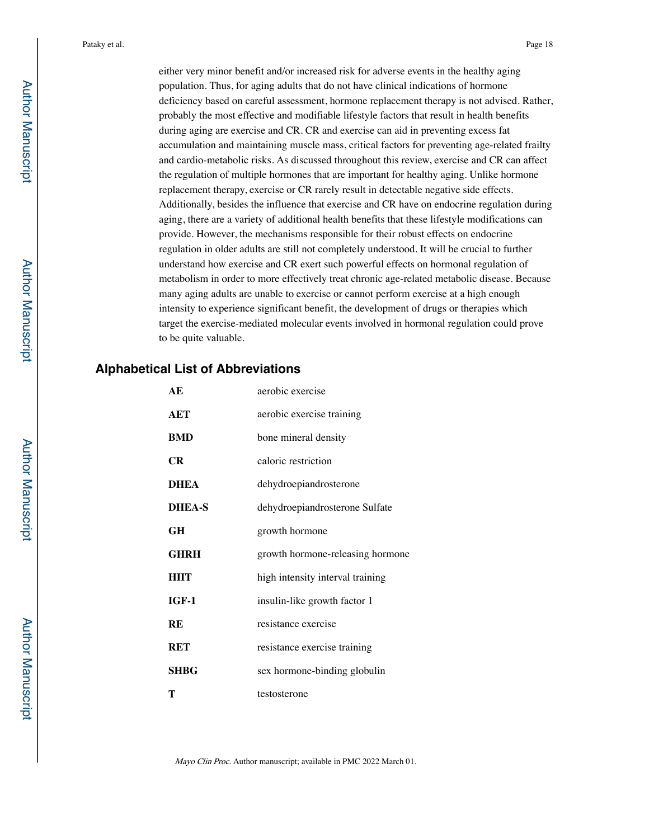either very minor benefit and/or increased risk for adverse events in the healthy aging population. Thus, for aging adults that do not have clinical indications of hormone deficiency based on careful assessment, hormone replacement therapy is not advised. Rather, probably the most effective and modifiable lifestyle factors that result in health benefits during aging are exercise and CR. CR and exercise can aid in preventing excess fat accumulation and maintaining muscle mass, critical factors for preventing age-related frailty and cardio-metabolic risks. As discussed throughout this review, exercise and CR can affect the regulation of multiple hormones that are important for healthy aging. Unlike hormone replacement therapy, exercise or CR rarely result in detectable negative side effects. Additionally, besides the influence that exercise and CR have on endocrine regulation during aging, there are a variety of additional health benefits that these lifestyle modifications can provide. However, the mechanisms responsible for their robust effects on endocrine regulation in older adults are still not completely understood. It will be crucial to further understand how exercise and CR exert such powerful effects on hormonal regulation of metabolism in order to more effectively treat chronic age-related metabolic disease. Because many aging adults are unable to exercise or cannot perform exercise at a high enough intensity to experience significant benefit, the development of drugs or therapies which target the exercise-mediated molecular events involved in hormonal regulation could prove to be quite valuable.

# **Alphabetical List of Abbreviations**

| АE            | aerobic exercise                 |  |  |  |  |
|---------------|----------------------------------|--|--|--|--|
| AET           | aerobic exercise training        |  |  |  |  |
| BMD           | bone mineral density             |  |  |  |  |
| CR            | caloric restriction              |  |  |  |  |
| DHEA          | dehydroepiandrosterone           |  |  |  |  |
| <b>DHEA-S</b> | dehydroepiandrosterone Sulfate   |  |  |  |  |
| GH            | growth hormone                   |  |  |  |  |
| <b>GHRH</b>   | growth hormone-releasing hormone |  |  |  |  |
| HIIT          | high intensity interval training |  |  |  |  |
| IGF-1         | insulin-like growth factor 1     |  |  |  |  |
| RE            | resistance exercise              |  |  |  |  |
| RET           | resistance exercise training     |  |  |  |  |
| SHBG          | sex hormone-binding globulin     |  |  |  |  |
| т             | testosterone                     |  |  |  |  |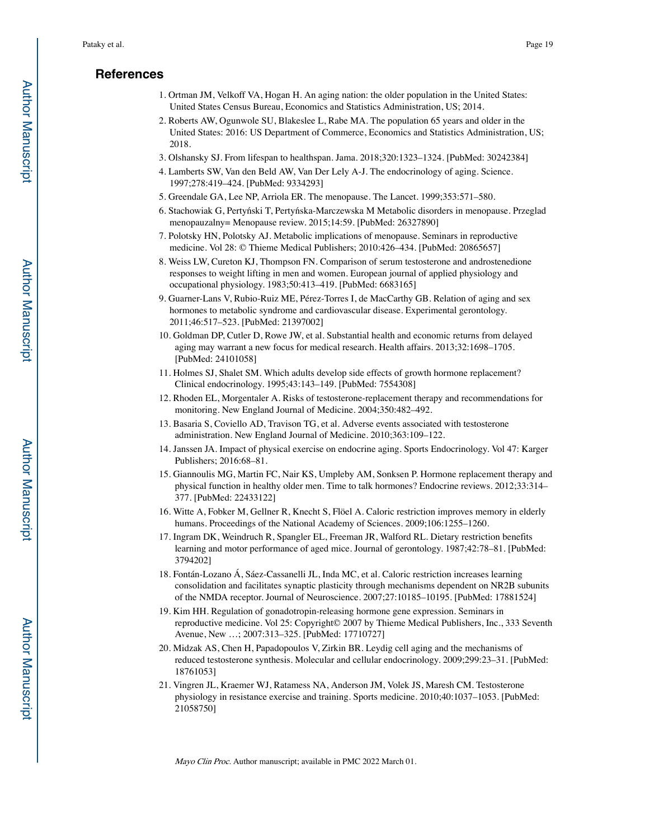# **References**

- 1. Ortman JM, Velkoff VA, Hogan H. An aging nation: the older population in the United States: United States Census Bureau, Economics and Statistics Administration, US; 2014.
- 2. Roberts AW, Ogunwole SU, Blakeslee L, Rabe MA. The population 65 years and older in the United States: 2016: US Department of Commerce, Economics and Statistics Administration, US; 2018.
- 3. Olshansky SJ. From lifespan to healthspan. Jama. 2018;320:1323–1324. [PubMed: 30242384]
- 4. Lamberts SW, Van den Beld AW, Van Der Lely A-J. The endocrinology of aging. Science. 1997;278:419–424. [PubMed: 9334293]
- 5. Greendale GA, Lee NP, Arriola ER. The menopause. The Lancet. 1999;353:571–580.
- 6. Stachowiak G, Pertyński T, Pertyńska-Marczewska M Metabolic disorders in menopause. Przeglad menopauzalny= Menopause review. 2015;14:59. [PubMed: 26327890]
- 7. Polotsky HN, Polotsky AJ. Metabolic implications of menopause. Seminars in reproductive medicine. Vol 28: © Thieme Medical Publishers; 2010:426–434. [PubMed: 20865657]
- 8. Weiss LW, Cureton KJ, Thompson FN. Comparison of serum testosterone and androstenedione responses to weight lifting in men and women. European journal of applied physiology and occupational physiology. 1983;50:413–419. [PubMed: 6683165]
- 9. Guarner-Lans V, Rubio-Ruiz ME, Pérez-Torres I, de MacCarthy GB. Relation of aging and sex hormones to metabolic syndrome and cardiovascular disease. Experimental gerontology. 2011;46:517–523. [PubMed: 21397002]
- 10. Goldman DP, Cutler D, Rowe JW, et al. Substantial health and economic returns from delayed aging may warrant a new focus for medical research. Health affairs. 2013;32:1698–1705. [PubMed: 24101058]
- 11. Holmes SJ, Shalet SM. Which adults develop side effects of growth hormone replacement? Clinical endocrinology. 1995;43:143–149. [PubMed: 7554308]
- 12. Rhoden EL, Morgentaler A. Risks of testosterone-replacement therapy and recommendations for monitoring. New England Journal of Medicine. 2004;350:482–492.
- 13. Basaria S, Coviello AD, Travison TG, et al. Adverse events associated with testosterone administration. New England Journal of Medicine. 2010;363:109–122.
- 14. Janssen JA. Impact of physical exercise on endocrine aging. Sports Endocrinology. Vol 47: Karger Publishers; 2016:68–81.
- 15. Giannoulis MG, Martin FC, Nair KS, Umpleby AM, Sonksen P. Hormone replacement therapy and physical function in healthy older men. Time to talk hormones? Endocrine reviews. 2012;33:314– 377. [PubMed: 22433122]
- 16. Witte A, Fobker M, Gellner R, Knecht S, Flöel A. Caloric restriction improves memory in elderly humans. Proceedings of the National Academy of Sciences. 2009;106:1255–1260.
- 17. Ingram DK, Weindruch R, Spangler EL, Freeman JR, Walford RL. Dietary restriction benefits learning and motor performance of aged mice. Journal of gerontology. 1987;42:78–81. [PubMed: 3794202]
- 18. Fontán-Lozano Á, Sáez-Cassanelli JL, Inda MC, et al. Caloric restriction increases learning consolidation and facilitates synaptic plasticity through mechanisms dependent on NR2B subunits of the NMDA receptor. Journal of Neuroscience. 2007;27:10185–10195. [PubMed: 17881524]
- 19. Kim HH. Regulation of gonadotropin-releasing hormone gene expression. Seminars in reproductive medicine. Vol 25: Copyright© 2007 by Thieme Medical Publishers, Inc., 333 Seventh Avenue, New …; 2007:313–325. [PubMed: 17710727]
- 20. Midzak AS, Chen H, Papadopoulos V, Zirkin BR. Leydig cell aging and the mechanisms of reduced testosterone synthesis. Molecular and cellular endocrinology. 2009;299:23–31. [PubMed: 18761053]
- 21. Vingren JL, Kraemer WJ, Ratamess NA, Anderson JM, Volek JS, Maresh CM. Testosterone physiology in resistance exercise and training. Sports medicine. 2010;40:1037–1053. [PubMed: 21058750]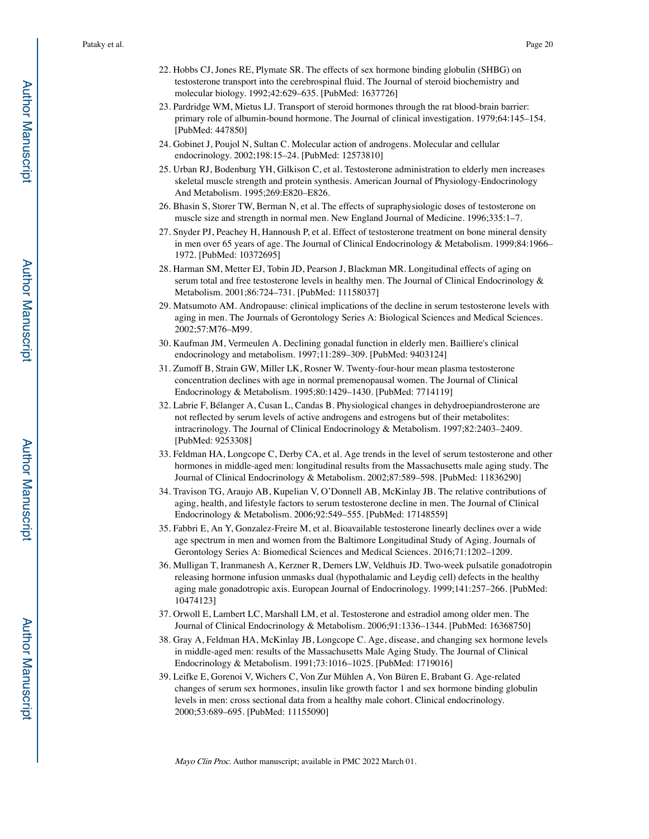- 22. Hobbs CJ, Jones RE, Plymate SR. The effects of sex hormone binding globulin (SHBG) on testosterone transport into the cerebrospinal fluid. The Journal of steroid biochemistry and molecular biology. 1992;42:629–635. [PubMed: 1637726]
- 23. Pardridge WM, Mietus LJ. Transport of steroid hormones through the rat blood-brain barrier: primary role of albumin-bound hormone. The Journal of clinical investigation. 1979;64:145–154. [PubMed: 447850]
- 24. Gobinet J, Poujol N, Sultan C. Molecular action of androgens. Molecular and cellular endocrinology. 2002;198:15–24. [PubMed: 12573810]
- 25. Urban RJ, Bodenburg YH, Gilkison C, et al. Testosterone administration to elderly men increases skeletal muscle strength and protein synthesis. American Journal of Physiology-Endocrinology And Metabolism. 1995;269:E820–E826.
- 26. Bhasin S, Storer TW, Berman N, et al. The effects of supraphysiologic doses of testosterone on muscle size and strength in normal men. New England Journal of Medicine. 1996;335:1–7.
- 27. Snyder PJ, Peachey H, Hannoush P, et al. Effect of testosterone treatment on bone mineral density in men over 65 years of age. The Journal of Clinical Endocrinology & Metabolism. 1999;84:1966– 1972. [PubMed: 10372695]
- 28. Harman SM, Metter EJ, Tobin JD, Pearson J, Blackman MR. Longitudinal effects of aging on serum total and free testosterone levels in healthy men. The Journal of Clinical Endocrinology & Metabolism. 2001;86:724–731. [PubMed: 11158037]
- 29. Matsumoto AM. Andropause: clinical implications of the decline in serum testosterone levels with aging in men. The Journals of Gerontology Series A: Biological Sciences and Medical Sciences. 2002;57:M76–M99.
- 30. Kaufman JM, Vermeulen A. Declining gonadal function in elderly men. Bailliere's clinical endocrinology and metabolism. 1997;11:289–309. [PubMed: 9403124]
- 31. Zumoff B, Strain GW, Miller LK, Rosner W. Twenty-four-hour mean plasma testosterone concentration declines with age in normal premenopausal women. The Journal of Clinical Endocrinology & Metabolism. 1995;80:1429–1430. [PubMed: 7714119]
- 32. Labrie F, Bélanger A, Cusan L, Candas B. Physiological changes in dehydroepiandrosterone are not reflected by serum levels of active androgens and estrogens but of their metabolites: intracrinology. The Journal of Clinical Endocrinology & Metabolism. 1997;82:2403–2409. [PubMed: 9253308]
- 33. Feldman HA, Longcope C, Derby CA, et al. Age trends in the level of serum testosterone and other hormones in middle-aged men: longitudinal results from the Massachusetts male aging study. The Journal of Clinical Endocrinology & Metabolism. 2002;87:589–598. [PubMed: 11836290]
- 34. Travison TG, Araujo AB, Kupelian V, O'Donnell AB, McKinlay JB. The relative contributions of aging, health, and lifestyle factors to serum testosterone decline in men. The Journal of Clinical Endocrinology & Metabolism. 2006;92:549–555. [PubMed: 17148559]
- 35. Fabbri E, An Y, Gonzalez-Freire M, et al. Bioavailable testosterone linearly declines over a wide age spectrum in men and women from the Baltimore Longitudinal Study of Aging. Journals of Gerontology Series A: Biomedical Sciences and Medical Sciences. 2016;71:1202–1209.
- 36. Mulligan T, Iranmanesh A, Kerzner R, Demers LW, Veldhuis JD. Two-week pulsatile gonadotropin releasing hormone infusion unmasks dual (hypothalamic and Leydig cell) defects in the healthy aging male gonadotropic axis. European Journal of Endocrinology. 1999;141:257–266. [PubMed: 10474123]
- 37. Orwoll E, Lambert LC, Marshall LM, et al. Testosterone and estradiol among older men. The Journal of Clinical Endocrinology & Metabolism. 2006;91:1336–1344. [PubMed: 16368750]
- 38. Gray A, Feldman HA, McKinlay JB, Longcope C. Age, disease, and changing sex hormone levels in middle-aged men: results of the Massachusetts Male Aging Study. The Journal of Clinical Endocrinology & Metabolism. 1991;73:1016–1025. [PubMed: 1719016]
- 39. Leifke E, Gorenoi V, Wichers C, Von Zur Mühlen A, Von Büren E, Brabant G. Age-related changes of serum sex hormones, insulin like growth factor 1 and sex hormone binding globulin levels in men: cross sectional data from a healthy male cohort. Clinical endocrinology. 2000;53:689–695. [PubMed: 11155090]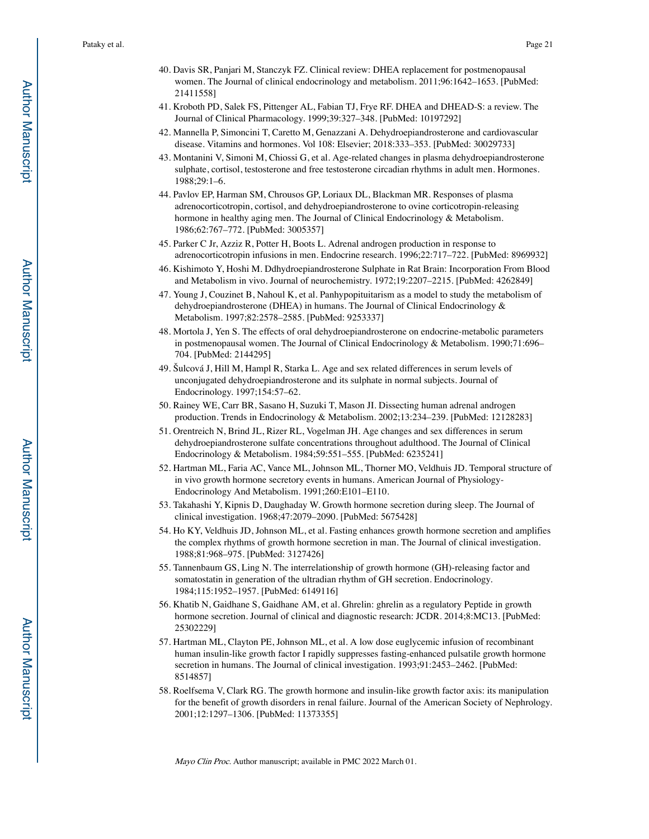- 40. Davis SR, Panjari M, Stanczyk FZ. Clinical review: DHEA replacement for postmenopausal women. The Journal of clinical endocrinology and metabolism. 2011;96:1642–1653. [PubMed: 21411558]
- 41. Kroboth PD, Salek FS, Pittenger AL, Fabian TJ, Frye RF. DHEA and DHEAD-S: a review. The Journal of Clinical Pharmacology. 1999;39:327–348. [PubMed: 10197292]
- 42. Mannella P, Simoncini T, Caretto M, Genazzani A. Dehydroepiandrosterone and cardiovascular disease. Vitamins and hormones. Vol 108: Elsevier; 2018:333–353. [PubMed: 30029733]
- 43. Montanini V, Simoni M, Chiossi G, et al. Age-related changes in plasma dehydroepiandrosterone sulphate, cortisol, testosterone and free testosterone circadian rhythms in adult men. Hormones. 1988;29:1–6.
- 44. Pavlov EP, Harman SM, Chrousos GP, Loriaux DL, Blackman MR. Responses of plasma adrenocorticotropin, cortisol, and dehydroepiandrosterone to ovine corticotropin-releasing hormone in healthy aging men. The Journal of Clinical Endocrinology & Metabolism. 1986;62:767–772. [PubMed: 3005357]
- 45. Parker C Jr, Azziz R, Potter H, Boots L. Adrenal androgen production in response to adrenocorticotropin infusions in men. Endocrine research. 1996;22:717–722. [PubMed: 8969932]
- 46. Kishimoto Y, Hoshi M. Ddhydroepiandrosterone Sulphate in Rat Brain: Incorporation From Blood and Metabolism in vivo. Journal of neurochemistry. 1972;19:2207–2215. [PubMed: 4262849]
- 47. Young J, Couzinet B, Nahoul K, et al. Panhypopituitarism as a model to study the metabolism of dehydroepiandrosterone (DHEA) in humans. The Journal of Clinical Endocrinology & Metabolism. 1997;82:2578–2585. [PubMed: 9253337]
- 48. Mortola J, Yen S. The effects of oral dehydroepiandrosterone on endocrine-metabolic parameters in postmenopausal women. The Journal of Clinical Endocrinology & Metabolism. 1990;71:696– 704. [PubMed: 2144295]
- 49. Šulcová J, Hill M, Hampl R, Starka L. Age and sex related differences in serum levels of unconjugated dehydroepiandrosterone and its sulphate in normal subjects. Journal of Endocrinology. 1997;154:57–62.
- 50. Rainey WE, Carr BR, Sasano H, Suzuki T, Mason JI. Dissecting human adrenal androgen production. Trends in Endocrinology & Metabolism. 2002;13:234–239. [PubMed: 12128283]
- 51. Orentreich N, Brind JL, Rizer RL, Vogelman JH. Age changes and sex differences in serum dehydroepiandrosterone sulfate concentrations throughout adulthood. The Journal of Clinical Endocrinology & Metabolism. 1984;59:551–555. [PubMed: 6235241]
- 52. Hartman ML, Faria AC, Vance ML, Johnson ML, Thorner MO, Veldhuis JD. Temporal structure of in vivo growth hormone secretory events in humans. American Journal of Physiology-Endocrinology And Metabolism. 1991;260:E101–E110.
- 53. Takahashi Y, Kipnis D, Daughaday W. Growth hormone secretion during sleep. The Journal of clinical investigation. 1968;47:2079–2090. [PubMed: 5675428]
- 54. Ho KY, Veldhuis JD, Johnson ML, et al. Fasting enhances growth hormone secretion and amplifies the complex rhythms of growth hormone secretion in man. The Journal of clinical investigation. 1988;81:968–975. [PubMed: 3127426]
- 55. Tannenbaum GS, Ling N. The interrelationship of growth hormone (GH)-releasing factor and somatostatin in generation of the ultradian rhythm of GH secretion. Endocrinology. 1984;115:1952–1957. [PubMed: 6149116]
- 56. Khatib N, Gaidhane S, Gaidhane AM, et al. Ghrelin: ghrelin as a regulatory Peptide in growth hormone secretion. Journal of clinical and diagnostic research: JCDR. 2014;8:MC13. [PubMed: 25302229]
- 57. Hartman ML, Clayton PE, Johnson ML, et al. A low dose euglycemic infusion of recombinant human insulin-like growth factor I rapidly suppresses fasting-enhanced pulsatile growth hormone secretion in humans. The Journal of clinical investigation. 1993;91:2453–2462. [PubMed: 8514857]
- 58. Roelfsema V, Clark RG. The growth hormone and insulin-like growth factor axis: its manipulation for the benefit of growth disorders in renal failure. Journal of the American Society of Nephrology. 2001;12:1297–1306. [PubMed: 11373355]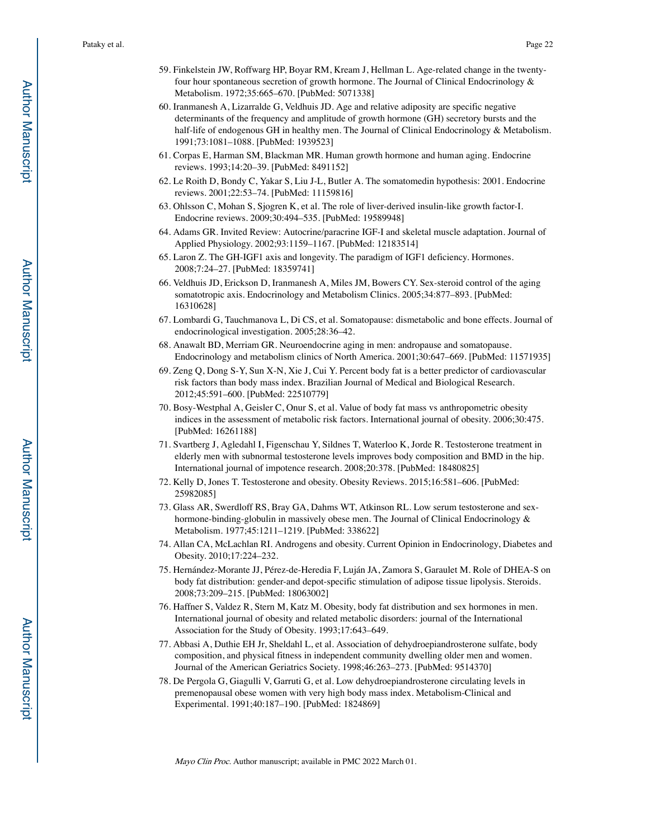- 59. Finkelstein JW, Roffwarg HP, Boyar RM, Kream J, Hellman L. Age-related change in the twentyfour hour spontaneous secretion of growth hormone. The Journal of Clinical Endocrinology & Metabolism. 1972;35:665–670. [PubMed: 5071338]
- 60. Iranmanesh A, Lizarralde G, Veldhuis JD. Age and relative adiposity are specific negative determinants of the frequency and amplitude of growth hormone (GH) secretory bursts and the half-life of endogenous GH in healthy men. The Journal of Clinical Endocrinology & Metabolism. 1991;73:1081–1088. [PubMed: 1939523]
- 61. Corpas E, Harman SM, Blackman MR. Human growth hormone and human aging. Endocrine reviews. 1993;14:20–39. [PubMed: 8491152]
- 62. Le Roith D, Bondy C, Yakar S, Liu J-L, Butler A. The somatomedin hypothesis: 2001. Endocrine reviews. 2001;22:53–74. [PubMed: 11159816]
- 63. Ohlsson C, Mohan S, Sjogren K, et al. The role of liver-derived insulin-like growth factor-I. Endocrine reviews. 2009;30:494–535. [PubMed: 19589948]
- 64. Adams GR. Invited Review: Autocrine/paracrine IGF-I and skeletal muscle adaptation. Journal of Applied Physiology. 2002;93:1159–1167. [PubMed: 12183514]
- 65. Laron Z. The GH-IGF1 axis and longevity. The paradigm of IGF1 deficiency. Hormones. 2008;7:24–27. [PubMed: 18359741]
- 66. Veldhuis JD, Erickson D, Iranmanesh A, Miles JM, Bowers CY. Sex-steroid control of the aging somatotropic axis. Endocrinology and Metabolism Clinics. 2005;34:877–893. [PubMed: 16310628]
- 67. Lombardi G, Tauchmanova L, Di CS, et al. Somatopause: dismetabolic and bone effects. Journal of endocrinological investigation. 2005;28:36–42.
- 68. Anawalt BD, Merriam GR. Neuroendocrine aging in men: andropause and somatopause. Endocrinology and metabolism clinics of North America. 2001;30:647–669. [PubMed: 11571935]
- 69. Zeng Q, Dong S-Y, Sun X-N, Xie J, Cui Y. Percent body fat is a better predictor of cardiovascular risk factors than body mass index. Brazilian Journal of Medical and Biological Research. 2012;45:591–600. [PubMed: 22510779]
- 70. Bosy-Westphal A, Geisler C, Onur S, et al. Value of body fat mass vs anthropometric obesity indices in the assessment of metabolic risk factors. International journal of obesity. 2006;30:475. [PubMed: 16261188]
- 71. Svartberg J, Agledahl I, Figenschau Y, Sildnes T, Waterloo K, Jorde R. Testosterone treatment in elderly men with subnormal testosterone levels improves body composition and BMD in the hip. International journal of impotence research. 2008;20:378. [PubMed: 18480825]
- 72. Kelly D, Jones T. Testosterone and obesity. Obesity Reviews. 2015;16:581–606. [PubMed: 25982085]
- 73. Glass AR, Swerdloff RS, Bray GA, Dahms WT, Atkinson RL. Low serum testosterone and sexhormone-binding-globulin in massively obese men. The Journal of Clinical Endocrinology & Metabolism. 1977;45:1211–1219. [PubMed: 338622]
- 74. Allan CA, McLachlan RI. Androgens and obesity. Current Opinion in Endocrinology, Diabetes and Obesity. 2010;17:224–232.
- 75. Hernández-Morante JJ, Pérez-de-Heredia F, Luján JA, Zamora S, Garaulet M. Role of DHEA-S on body fat distribution: gender-and depot-specific stimulation of adipose tissue lipolysis. Steroids. 2008;73:209–215. [PubMed: 18063002]
- 76. Haffner S, Valdez R, Stern M, Katz M. Obesity, body fat distribution and sex hormones in men. International journal of obesity and related metabolic disorders: journal of the International Association for the Study of Obesity. 1993;17:643–649.
- 77. Abbasi A, Duthie EH Jr, Sheldahl L, et al. Association of dehydroepiandrosterone sulfate, body composition, and physical fitness in independent community dwelling older men and women. Journal of the American Geriatrics Society. 1998;46:263–273. [PubMed: 9514370]
- 78. De Pergola G, Giagulli V, Garruti G, et al. Low dehydroepiandrosterone circulating levels in premenopausal obese women with very high body mass index. Metabolism-Clinical and Experimental. 1991;40:187–190. [PubMed: 1824869]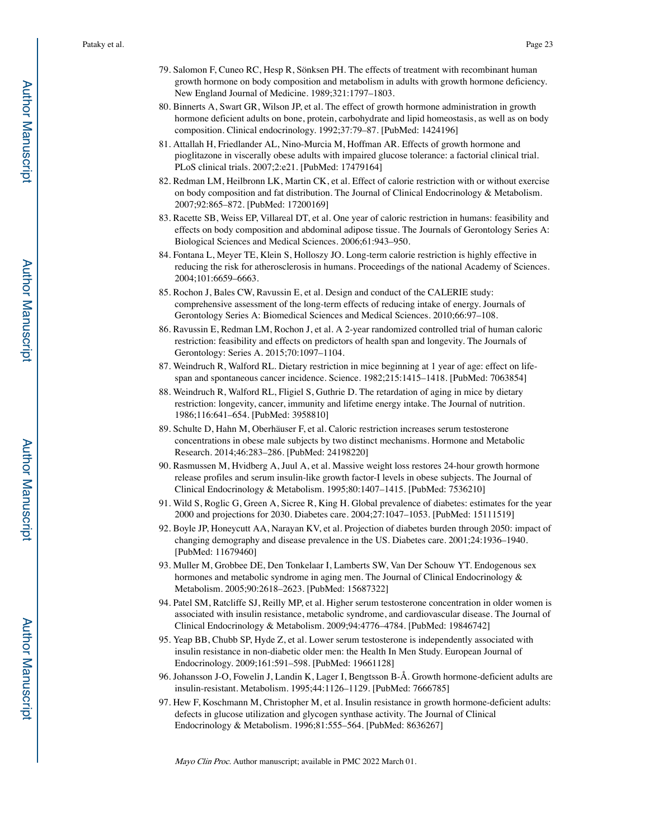- 79. Salomon F, Cuneo RC, Hesp R, Sönksen PH. The effects of treatment with recombinant human growth hormone on body composition and metabolism in adults with growth hormone deficiency. New England Journal of Medicine. 1989;321:1797–1803.
- 80. Binnerts A, Swart GR, Wilson JP, et al. The effect of growth hormone administration in growth hormone deficient adults on bone, protein, carbohydrate and lipid homeostasis, as well as on body composition. Clinical endocrinology. 1992;37:79–87. [PubMed: 1424196]
- 81. Attallah H, Friedlander AL, Nino-Murcia M, Hoffman AR. Effects of growth hormone and pioglitazone in viscerally obese adults with impaired glucose tolerance: a factorial clinical trial. PLoS clinical trials. 2007;2:e21. [PubMed: 17479164]
- 82. Redman LM, Heilbronn LK, Martin CK, et al. Effect of calorie restriction with or without exercise on body composition and fat distribution. The Journal of Clinical Endocrinology & Metabolism. 2007;92:865–872. [PubMed: 17200169]
- 83. Racette SB, Weiss EP, Villareal DT, et al. One year of caloric restriction in humans: feasibility and effects on body composition and abdominal adipose tissue. The Journals of Gerontology Series A: Biological Sciences and Medical Sciences. 2006;61:943–950.
- 84. Fontana L, Meyer TE, Klein S, Holloszy JO. Long-term calorie restriction is highly effective in reducing the risk for atherosclerosis in humans. Proceedings of the national Academy of Sciences. 2004;101:6659–6663.
- 85. Rochon J, Bales CW, Ravussin E, et al. Design and conduct of the CALERIE study: comprehensive assessment of the long-term effects of reducing intake of energy. Journals of Gerontology Series A: Biomedical Sciences and Medical Sciences. 2010;66:97–108.
- 86. Ravussin E, Redman LM, Rochon J, et al. A 2-year randomized controlled trial of human caloric restriction: feasibility and effects on predictors of health span and longevity. The Journals of Gerontology: Series A. 2015;70:1097–1104.
- 87. Weindruch R, Walford RL. Dietary restriction in mice beginning at 1 year of age: effect on lifespan and spontaneous cancer incidence. Science. 1982;215:1415–1418. [PubMed: 7063854]
- 88. Weindruch R, Walford RL, Fligiel S, Guthrie D. The retardation of aging in mice by dietary restriction: longevity, cancer, immunity and lifetime energy intake. The Journal of nutrition. 1986;116:641–654. [PubMed: 3958810]
- 89. Schulte D, Hahn M, Oberhäuser F, et al. Caloric restriction increases serum testosterone concentrations in obese male subjects by two distinct mechanisms. Hormone and Metabolic Research. 2014;46:283–286. [PubMed: 24198220]
- 90. Rasmussen M, Hvidberg A, Juul A, et al. Massive weight loss restores 24-hour growth hormone release profiles and serum insulin-like growth factor-I levels in obese subjects. The Journal of Clinical Endocrinology & Metabolism. 1995;80:1407–1415. [PubMed: 7536210]
- 91. Wild S, Roglic G, Green A, Sicree R, King H. Global prevalence of diabetes: estimates for the year 2000 and projections for 2030. Diabetes care. 2004;27:1047–1053. [PubMed: 15111519]
- 92. Boyle JP, Honeycutt AA, Narayan KV, et al. Projection of diabetes burden through 2050: impact of changing demography and disease prevalence in the US. Diabetes care. 2001;24:1936–1940. [PubMed: 11679460]
- 93. Muller M, Grobbee DE, Den Tonkelaar I, Lamberts SW, Van Der Schouw YT. Endogenous sex hormones and metabolic syndrome in aging men. The Journal of Clinical Endocrinology & Metabolism. 2005;90:2618–2623. [PubMed: 15687322]
- 94. Patel SM, Ratcliffe SJ, Reilly MP, et al. Higher serum testosterone concentration in older women is associated with insulin resistance, metabolic syndrome, and cardiovascular disease. The Journal of Clinical Endocrinology & Metabolism. 2009;94:4776–4784. [PubMed: 19846742]
- 95. Yeap BB, Chubb SP, Hyde Z, et al. Lower serum testosterone is independently associated with insulin resistance in non-diabetic older men: the Health In Men Study. European Journal of Endocrinology. 2009;161:591–598. [PubMed: 19661128]
- 96. Johansson J-O, Fowelin J, Landin K, Lager I, Bengtsson B-Å. Growth hormone-deficient adults are insulin-resistant. Metabolism. 1995;44:1126–1129. [PubMed: 7666785]
- 97. Hew F, Koschmann M, Christopher M, et al. Insulin resistance in growth hormone-deficient adults: defects in glucose utilization and glycogen synthase activity. The Journal of Clinical Endocrinology & Metabolism. 1996;81:555–564. [PubMed: 8636267]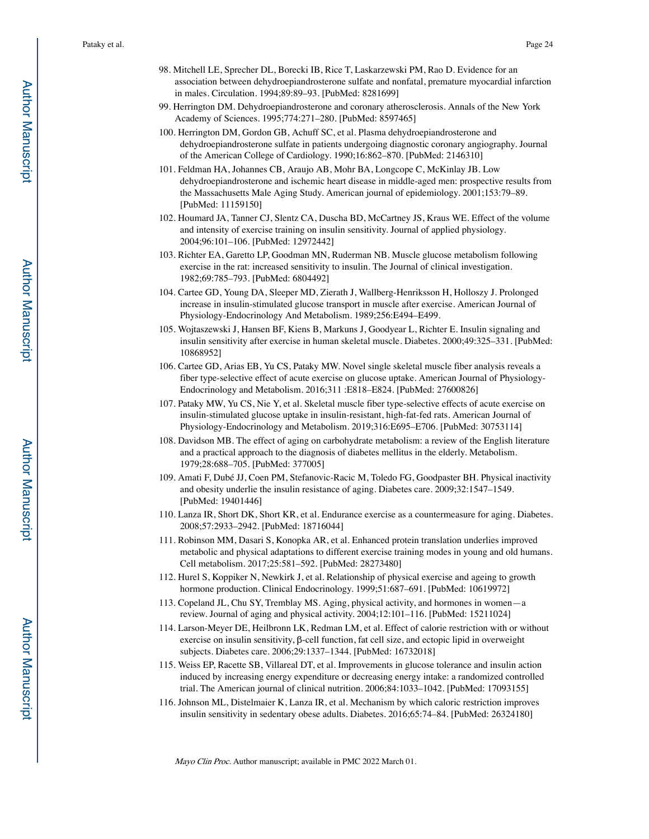- 98. Mitchell LE, Sprecher DL, Borecki IB, Rice T, Laskarzewski PM, Rao D. Evidence for an association between dehydroepiandrosterone sulfate and nonfatal, premature myocardial infarction in males. Circulation. 1994;89:89–93. [PubMed: 8281699]
- 99. Herrington DM. Dehydroepiandrosterone and coronary atherosclerosis. Annals of the New York Academy of Sciences. 1995;774:271–280. [PubMed: 8597465]
- 100. Herrington DM, Gordon GB, Achuff SC, et al. Plasma dehydroepiandrosterone and dehydroepiandrosterone sulfate in patients undergoing diagnostic coronary angiography. Journal of the American College of Cardiology. 1990;16:862–870. [PubMed: 2146310]
- 101. Feldman HA, Johannes CB, Araujo AB, Mohr BA, Longcope C, McKinlay JB. Low dehydroepiandrosterone and ischemic heart disease in middle-aged men: prospective results from the Massachusetts Male Aging Study. American journal of epidemiology. 2001;153:79–89. [PubMed: 11159150]
- 102. Houmard JA, Tanner CJ, Slentz CA, Duscha BD, McCartney JS, Kraus WE. Effect of the volume and intensity of exercise training on insulin sensitivity. Journal of applied physiology. 2004;96:101–106. [PubMed: 12972442]
- 103. Richter EA, Garetto LP, Goodman MN, Ruderman NB. Muscle glucose metabolism following exercise in the rat: increased sensitivity to insulin. The Journal of clinical investigation. 1982;69:785–793. [PubMed: 6804492]
- 104. Cartee GD, Young DA, Sleeper MD, Zierath J, Wallberg-Henriksson H, Holloszy J. Prolonged increase in insulin-stimulated glucose transport in muscle after exercise. American Journal of Physiology-Endocrinology And Metabolism. 1989;256:E494–E499.
- 105. Wojtaszewski J, Hansen BF, Kiens B, Markuns J, Goodyear L, Richter E. Insulin signaling and insulin sensitivity after exercise in human skeletal muscle. Diabetes. 2000;49:325–331. [PubMed: 10868952]
- 106. Cartee GD, Arias EB, Yu CS, Pataky MW. Novel single skeletal muscle fiber analysis reveals a fiber type-selective effect of acute exercise on glucose uptake. American Journal of Physiology-Endocrinology and Metabolism. 2016;311 :E818–E824. [PubMed: 27600826]
- 107. Pataky MW, Yu CS, Nie Y, et al. Skeletal muscle fiber type-selective effects of acute exercise on insulin-stimulated glucose uptake in insulin-resistant, high-fat-fed rats. American Journal of Physiology-Endocrinology and Metabolism. 2019;316:E695–E706. [PubMed: 30753114]
- 108. Davidson MB. The effect of aging on carbohydrate metabolism: a review of the English literature and a practical approach to the diagnosis of diabetes mellitus in the elderly. Metabolism. 1979;28:688–705. [PubMed: 377005]
- 109. Amati F, Dubé JJ, Coen PM, Stefanovic-Racic M, Toledo FG, Goodpaster BH. Physical inactivity and obesity underlie the insulin resistance of aging. Diabetes care. 2009;32:1547–1549. [PubMed: 19401446]
- 110. Lanza IR, Short DK, Short KR, et al. Endurance exercise as a countermeasure for aging. Diabetes. 2008;57:2933–2942. [PubMed: 18716044]
- 111. Robinson MM, Dasari S, Konopka AR, et al. Enhanced protein translation underlies improved metabolic and physical adaptations to different exercise training modes in young and old humans. Cell metabolism. 2017;25:581–592. [PubMed: 28273480]
- 112. Hurel S, Koppiker N, Newkirk J, et al. Relationship of physical exercise and ageing to growth hormone production. Clinical Endocrinology. 1999;51:687–691. [PubMed: 10619972]
- 113. Copeland JL, Chu SY, Tremblay MS. Aging, physical activity, and hormones in women—a review. Journal of aging and physical activity. 2004;12:101–116. [PubMed: 15211024]
- 114. Larson-Meyer DE, Heilbronn LK, Redman LM, et al. Effect of calorie restriction with or without exercise on insulin sensitivity, β-cell function, fat cell size, and ectopic lipid in overweight subjects. Diabetes care. 2006;29:1337–1344. [PubMed: 16732018]
- 115. Weiss EP, Racette SB, Villareal DT, et al. Improvements in glucose tolerance and insulin action induced by increasing energy expenditure or decreasing energy intake: a randomized controlled trial. The American journal of clinical nutrition. 2006;84:1033–1042. [PubMed: 17093155]
- 116. Johnson ML, Distelmaier K, Lanza IR, et al. Mechanism by which caloric restriction improves insulin sensitivity in sedentary obese adults. Diabetes. 2016;65:74–84. [PubMed: 26324180]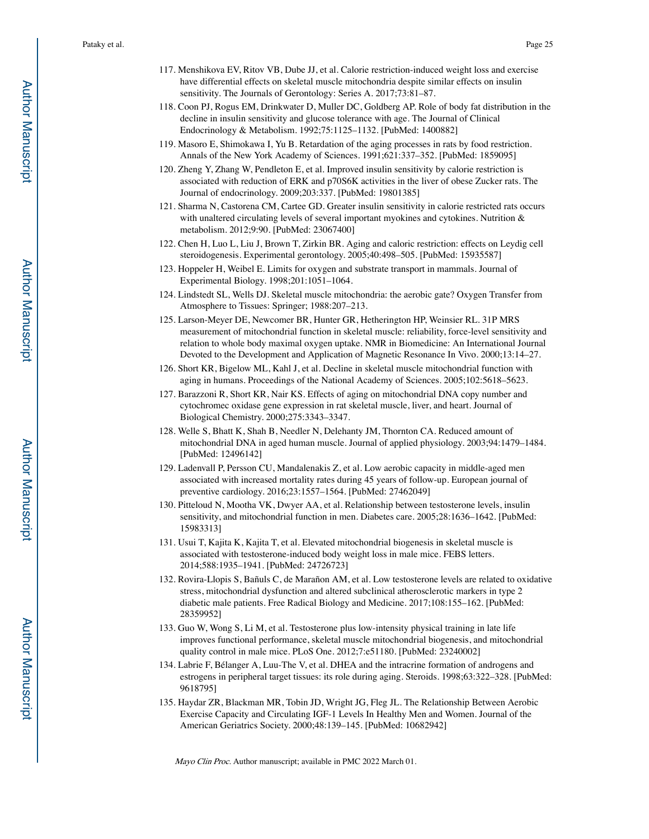- 117. Menshikova EV, Ritov VB, Dube JJ, et al. Calorie restriction-induced weight loss and exercise have differential effects on skeletal muscle mitochondria despite similar effects on insulin sensitivity. The Journals of Gerontology: Series A. 2017;73:81–87.
- 118. Coon PJ, Rogus EM, Drinkwater D, Muller DC, Goldberg AP. Role of body fat distribution in the decline in insulin sensitivity and glucose tolerance with age. The Journal of Clinical Endocrinology & Metabolism. 1992;75:1125–1132. [PubMed: 1400882]
- 119. Masoro E, Shimokawa I, Yu B. Retardation of the aging processes in rats by food restriction. Annals of the New York Academy of Sciences. 1991;621:337–352. [PubMed: 1859095]
- 120. Zheng Y, Zhang W, Pendleton E, et al. Improved insulin sensitivity by calorie restriction is associated with reduction of ERK and p70S6K activities in the liver of obese Zucker rats. The Journal of endocrinology. 2009;203:337. [PubMed: 19801385]
- 121. Sharma N, Castorena CM, Cartee GD. Greater insulin sensitivity in calorie restricted rats occurs with unaltered circulating levels of several important myokines and cytokines. Nutrition & metabolism. 2012;9:90. [PubMed: 23067400]
- 122. Chen H, Luo L, Liu J, Brown T, Zirkin BR. Aging and caloric restriction: effects on Leydig cell steroidogenesis. Experimental gerontology. 2005;40:498–505. [PubMed: 15935587]
- 123. Hoppeler H, Weibel E. Limits for oxygen and substrate transport in mammals. Journal of Experimental Biology. 1998;201:1051–1064.
- 124. Lindstedt SL, Wells DJ. Skeletal muscle mitochondria: the aerobic gate? Oxygen Transfer from Atmosphere to Tissues: Springer; 1988:207–213.
- 125. Larson-Meyer DE, Newcomer BR, Hunter GR, Hetherington HP, Weinsier RL. 31P MRS measurement of mitochondrial function in skeletal muscle: reliability, force-level sensitivity and relation to whole body maximal oxygen uptake. NMR in Biomedicine: An International Journal Devoted to the Development and Application of Magnetic Resonance In Vivo. 2000;13:14–27.
- 126. Short KR, Bigelow ML, Kahl J, et al. Decline in skeletal muscle mitochondrial function with aging in humans. Proceedings of the National Academy of Sciences. 2005;102:5618–5623.
- 127. Barazzoni R, Short KR, Nair KS. Effects of aging on mitochondrial DNA copy number and cytochromec oxidase gene expression in rat skeletal muscle, liver, and heart. Journal of Biological Chemistry. 2000;275:3343–3347.
- 128. Welle S, Bhatt K, Shah B, Needler N, Delehanty JM, Thornton CA. Reduced amount of mitochondrial DNA in aged human muscle. Journal of applied physiology. 2003;94:1479–1484. [PubMed: 12496142]
- 129. Ladenvall P, Persson CU, Mandalenakis Z, et al. Low aerobic capacity in middle-aged men associated with increased mortality rates during 45 years of follow-up. European journal of preventive cardiology. 2016;23:1557–1564. [PubMed: 27462049]
- 130. Pitteloud N, Mootha VK, Dwyer AA, et al. Relationship between testosterone levels, insulin sensitivity, and mitochondrial function in men. Diabetes care. 2005;28:1636–1642. [PubMed: 15983313]
- 131. Usui T, Kajita K, Kajita T, et al. Elevated mitochondrial biogenesis in skeletal muscle is associated with testosterone-induced body weight loss in male mice. FEBS letters. 2014;588:1935–1941. [PubMed: 24726723]
- 132. Rovira-Llopis S, Bañuls C, de Marañon AM, et al. Low testosterone levels are related to oxidative stress, mitochondrial dysfunction and altered subclinical atherosclerotic markers in type 2 diabetic male patients. Free Radical Biology and Medicine. 2017;108:155–162. [PubMed: 28359952]
- 133. Guo W, Wong S, Li M, et al. Testosterone plus low-intensity physical training in late life improves functional performance, skeletal muscle mitochondrial biogenesis, and mitochondrial quality control in male mice. PLoS One. 2012;7:e51180. [PubMed: 23240002]
- 134. Labrie F, Bélanger A, Luu-The V, et al. DHEA and the intracrine formation of androgens and estrogens in peripheral target tissues: its role during aging. Steroids. 1998;63:322–328. [PubMed: 9618795]
- 135. Haydar ZR, Blackman MR, Tobin JD, Wright JG, Fleg JL. The Relationship Between Aerobic Exercise Capacity and Circulating IGF-1 Levels In Healthy Men and Women. Journal of the American Geriatrics Society. 2000;48:139–145. [PubMed: 10682942]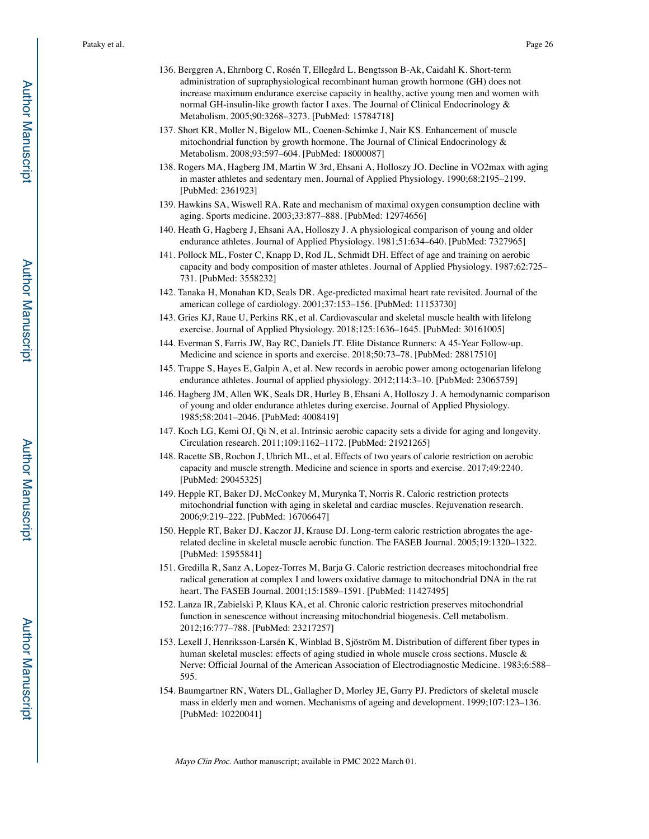- 136. Berggren A, Ehrnborg C, Rosén T, Ellegård L, Bengtsson B-Ak, Caidahl K. Short-term administration of supraphysiological recombinant human growth hormone (GH) does not increase maximum endurance exercise capacity in healthy, active young men and women with normal GH-insulin-like growth factor I axes. The Journal of Clinical Endocrinology & Metabolism. 2005;90:3268–3273. [PubMed: 15784718]
- 137. Short KR, Moller N, Bigelow ML, Coenen-Schimke J, Nair KS. Enhancement of muscle mitochondrial function by growth hormone. The Journal of Clinical Endocrinology  $\&$ Metabolism. 2008;93:597–604. [PubMed: 18000087]
- 138. Rogers MA, Hagberg JM, Martin W 3rd, Ehsani A, Holloszy JO. Decline in VO2max with aging in master athletes and sedentary men. Journal of Applied Physiology. 1990;68:2195–2199. [PubMed: 2361923]
- 139. Hawkins SA, Wiswell RA. Rate and mechanism of maximal oxygen consumption decline with aging. Sports medicine. 2003;33:877–888. [PubMed: 12974656]
- 140. Heath G, Hagberg J, Ehsani AA, Holloszy J. A physiological comparison of young and older endurance athletes. Journal of Applied Physiology. 1981;51:634–640. [PubMed: 7327965]
- 141. Pollock ML, Foster C, Knapp D, Rod JL, Schmidt DH. Effect of age and training on aerobic capacity and body composition of master athletes. Journal of Applied Physiology. 1987;62:725– 731. [PubMed: 3558232]
- 142. Tanaka H, Monahan KD, Seals DR. Age-predicted maximal heart rate revisited. Journal of the american college of cardiology. 2001;37:153–156. [PubMed: 11153730]
- 143. Gries KJ, Raue U, Perkins RK, et al. Cardiovascular and skeletal muscle health with lifelong exercise. Journal of Applied Physiology. 2018;125:1636–1645. [PubMed: 30161005]
- 144. Everman S, Farris JW, Bay RC, Daniels JT. Elite Distance Runners: A 45-Year Follow-up. Medicine and science in sports and exercise. 2018;50:73–78. [PubMed: 28817510]
- 145. Trappe S, Hayes E, Galpin A, et al. New records in aerobic power among octogenarian lifelong endurance athletes. Journal of applied physiology. 2012;114:3–10. [PubMed: 23065759]
- 146. Hagberg JM, Allen WK, Seals DR, Hurley B, Ehsani A, Holloszy J. A hemodynamic comparison of young and older endurance athletes during exercise. Journal of Applied Physiology. 1985;58:2041–2046. [PubMed: 4008419]
- 147. Koch LG, Kemi OJ, Qi N, et al. Intrinsic aerobic capacity sets a divide for aging and longevity. Circulation research. 2011;109:1162–1172. [PubMed: 21921265]
- 148. Racette SB, Rochon J, Uhrich ML, et al. Effects of two years of calorie restriction on aerobic capacity and muscle strength. Medicine and science in sports and exercise. 2017;49:2240. [PubMed: 29045325]
- 149. Hepple RT, Baker DJ, McConkey M, Murynka T, Norris R. Caloric restriction protects mitochondrial function with aging in skeletal and cardiac muscles. Rejuvenation research. 2006;9:219–222. [PubMed: 16706647]
- 150. Hepple RT, Baker DJ, Kaczor JJ, Krause DJ. Long-term caloric restriction abrogates the agerelated decline in skeletal muscle aerobic function. The FASEB Journal. 2005;19:1320–1322. [PubMed: 15955841]
- 151. Gredilla R, Sanz A, Lopez-Torres M, Barja G. Caloric restriction decreases mitochondrial free radical generation at complex I and lowers oxidative damage to mitochondrial DNA in the rat heart. The FASEB Journal. 2001;15:1589–1591. [PubMed: 11427495]
- 152. Lanza IR, Zabielski P, Klaus KA, et al. Chronic caloric restriction preserves mitochondrial function in senescence without increasing mitochondrial biogenesis. Cell metabolism. 2012;16:777–788. [PubMed: 23217257]
- 153. Lexell J, Henriksson-Larsén K, Winblad B, Sjöström M. Distribution of different fiber types in human skeletal muscles: effects of aging studied in whole muscle cross sections. Muscle & Nerve: Official Journal of the American Association of Electrodiagnostic Medicine. 1983;6:588– 595.
- 154. Baumgartner RN, Waters DL, Gallagher D, Morley JE, Garry PJ. Predictors of skeletal muscle mass in elderly men and women. Mechanisms of ageing and development. 1999;107:123–136. [PubMed: 10220041]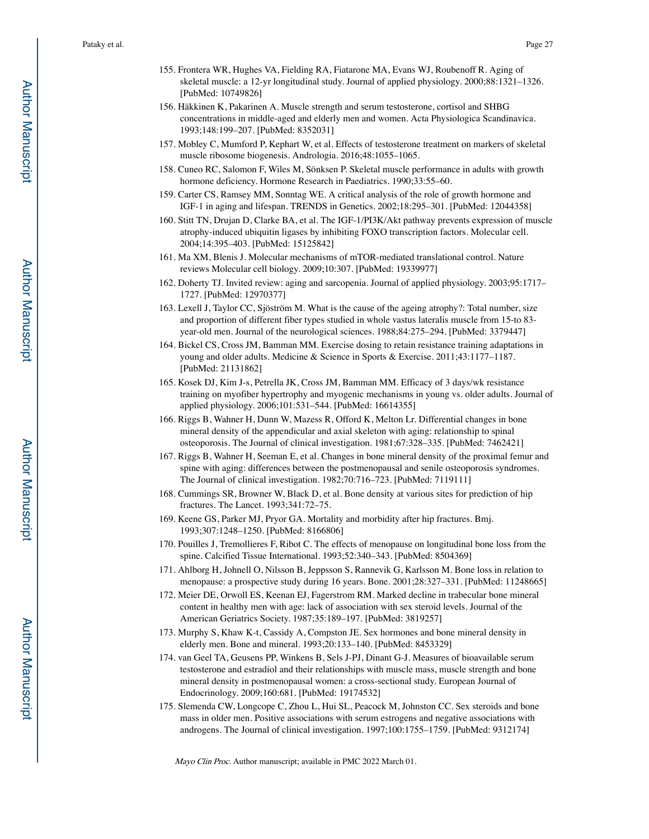- 155. Frontera WR, Hughes VA, Fielding RA, Fiatarone MA, Evans WJ, Roubenoff R. Aging of skeletal muscle: a 12-yr longitudinal study. Journal of applied physiology. 2000;88:1321–1326. [PubMed: 10749826]
- 156. Häkkinen K, Pakarinen A. Muscle strength and serum testosterone, cortisol and SHBG concentrations in middle-aged and elderly men and women. Acta Physiologica Scandinavica. 1993;148:199–207. [PubMed: 8352031]
- 157. Mobley C, Mumford P, Kephart W, et al. Effects of testosterone treatment on markers of skeletal muscle ribosome biogenesis. Andrologia. 2016;48:1055–1065.
- 158. Cuneo RC, Salomon F, Wiles M, Sönksen P. Skeletal muscle performance in adults with growth hormone deficiency. Hormone Research in Paediatrics. 1990;33:55–60.
- 159. Carter CS, Ramsey MM, Sonntag WE. A critical analysis of the role of growth hormone and IGF-1 in aging and lifespan. TRENDS in Genetics. 2002;18:295–301. [PubMed: 12044358]
- 160. Stitt TN, Drujan D, Clarke BA, et al. The IGF-1/PI3K/Akt pathway prevents expression of muscle atrophy-induced ubiquitin ligases by inhibiting FOXO transcription factors. Molecular cell. 2004;14:395–403. [PubMed: 15125842]
- 161. Ma XM, Blenis J. Molecular mechanisms of mTOR-mediated translational control. Nature reviews Molecular cell biology. 2009;10:307. [PubMed: 19339977]
- 162. Doherty TJ. Invited review: aging and sarcopenia. Journal of applied physiology. 2003;95:1717– 1727. [PubMed: 12970377]
- 163. Lexell J, Taylor CC, Sjöström M. What is the cause of the ageing atrophy?: Total number, size and proportion of different fiber types studied in whole vastus lateralis muscle from 15-to 83 year-old men. Journal of the neurological sciences. 1988;84:275–294. [PubMed: 3379447]
- 164. Bickel CS, Cross JM, Bamman MM. Exercise dosing to retain resistance training adaptations in young and older adults. Medicine & Science in Sports & Exercise. 2011;43:1177–1187. [PubMed: 21131862]
- 165. Kosek DJ, Kim J-s, Petrella JK, Cross JM, Bamman MM. Efficacy of 3 days/wk resistance training on myofiber hypertrophy and myogenic mechanisms in young vs. older adults. Journal of applied physiology. 2006;101:531–544. [PubMed: 16614355]
- 166. Riggs B, Wahner H, Dunn W, Mazess R, Offord K, Melton Lr. Differential changes in bone mineral density of the appendicular and axial skeleton with aging: relationship to spinal osteoporosis. The Journal of clinical investigation. 1981;67:328–335. [PubMed: 7462421]
- 167. Riggs B, Wahner H, Seeman E, et al. Changes in bone mineral density of the proximal femur and spine with aging: differences between the postmenopausal and senile osteoporosis syndromes. The Journal of clinical investigation. 1982;70:716–723. [PubMed: 7119111]
- 168. Cummings SR, Browner W, Black D, et al. Bone density at various sites for prediction of hip fractures. The Lancet. 1993;341:72–75.
- 169. Keene GS, Parker MJ, Pryor GA. Mortality and morbidity after hip fractures. Bmj. 1993;307:1248–1250. [PubMed: 8166806]
- 170. Pouilles J, Tremollieres F, Ribot C. The effects of menopause on longitudinal bone loss from the spine. Calcified Tissue International. 1993;52:340–343. [PubMed: 8504369]
- 171. Ahlborg H, Johnell O, Nilsson B, Jeppsson S, Rannevik G, Karlsson M. Bone loss in relation to menopause: a prospective study during 16 years. Bone. 2001;28:327–331. [PubMed: 11248665]
- 172. Meier DE, Orwoll ES, Keenan EJ, Fagerstrom RM. Marked decline in trabecular bone mineral content in healthy men with age: lack of association with sex steroid levels. Journal of the American Geriatrics Society. 1987;35:189–197. [PubMed: 3819257]
- 173. Murphy S, Khaw K-t, Cassidy A, Compston JE. Sex hormones and bone mineral density in elderly men. Bone and mineral. 1993;20:133–140. [PubMed: 8453329]
- 174. van Geel TA, Geusens PP, Winkens B, Sels J-PJ, Dinant G-J. Measures of bioavailable serum testosterone and estradiol and their relationships with muscle mass, muscle strength and bone mineral density in postmenopausal women: a cross-sectional study. European Journal of Endocrinology. 2009;160:681. [PubMed: 19174532]
- 175. Slemenda CW, Longcope C, Zhou L, Hui SL, Peacock M, Johnston CC. Sex steroids and bone mass in older men. Positive associations with serum estrogens and negative associations with androgens. The Journal of clinical investigation. 1997;100:1755–1759. [PubMed: 9312174]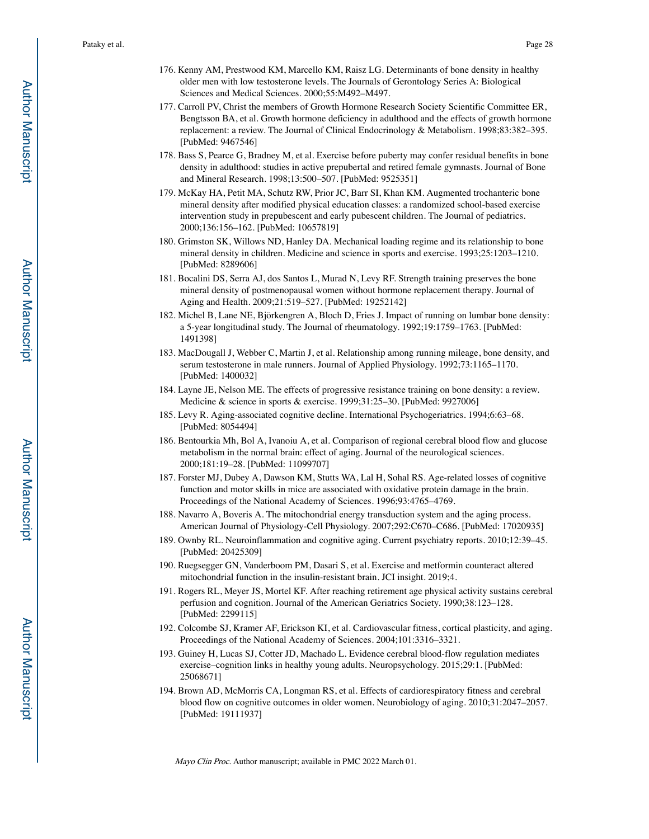- 176. Kenny AM, Prestwood KM, Marcello KM, Raisz LG. Determinants of bone density in healthy older men with low testosterone levels. The Journals of Gerontology Series A: Biological Sciences and Medical Sciences. 2000;55:M492–M497.
- 177. Carroll PV, Christ the members of Growth Hormone Research Society Scientific Committee ER, Bengtsson BA, et al. Growth hormone deficiency in adulthood and the effects of growth hormone replacement: a review. The Journal of Clinical Endocrinology & Metabolism. 1998;83:382–395. [PubMed: 9467546]
- 178. Bass S, Pearce G, Bradney M, et al. Exercise before puberty may confer residual benefits in bone density in adulthood: studies in active prepubertal and retired female gymnasts. Journal of Bone and Mineral Research. 1998;13:500–507. [PubMed: 9525351]
- 179. McKay HA, Petit MA, Schutz RW, Prior JC, Barr SI, Khan KM. Augmented trochanteric bone mineral density after modified physical education classes: a randomized school-based exercise intervention study in prepubescent and early pubescent children. The Journal of pediatrics. 2000;136:156–162. [PubMed: 10657819]
- 180. Grimston SK, Willows ND, Hanley DA. Mechanical loading regime and its relationship to bone mineral density in children. Medicine and science in sports and exercise. 1993;25:1203–1210. [PubMed: 8289606]
- 181. Bocalini DS, Serra AJ, dos Santos L, Murad N, Levy RF. Strength training preserves the bone mineral density of postmenopausal women without hormone replacement therapy. Journal of Aging and Health. 2009;21:519–527. [PubMed: 19252142]
- 182. Michel B, Lane NE, Björkengren A, Bloch D, Fries J. Impact of running on lumbar bone density: a 5-year longitudinal study. The Journal of rheumatology. 1992;19:1759–1763. [PubMed: 1491398]
- 183. MacDougall J, Webber C, Martin J, et al. Relationship among running mileage, bone density, and serum testosterone in male runners. Journal of Applied Physiology. 1992;73:1165–1170. [PubMed: 1400032]
- 184. Layne JE, Nelson ME. The effects of progressive resistance training on bone density: a review. Medicine & science in sports & exercise. 1999;31:25–30. [PubMed: 9927006]
- 185. Levy R. Aging-associated cognitive decline. International Psychogeriatrics. 1994;6:63–68. [PubMed: 8054494]
- 186. Bentourkia Mh, Bol A, Ivanoiu A, et al. Comparison of regional cerebral blood flow and glucose metabolism in the normal brain: effect of aging. Journal of the neurological sciences. 2000;181:19–28. [PubMed: 11099707]
- 187. Forster MJ, Dubey A, Dawson KM, Stutts WA, Lal H, Sohal RS. Age-related losses of cognitive function and motor skills in mice are associated with oxidative protein damage in the brain. Proceedings of the National Academy of Sciences. 1996;93:4765–4769.
- 188. Navarro A, Boveris A. The mitochondrial energy transduction system and the aging process. American Journal of Physiology-Cell Physiology. 2007;292:C670–C686. [PubMed: 17020935]
- 189. Ownby RL. Neuroinflammation and cognitive aging. Current psychiatry reports. 2010;12:39–45. [PubMed: 20425309]
- 190. Ruegsegger GN, Vanderboom PM, Dasari S, et al. Exercise and metformin counteract altered mitochondrial function in the insulin-resistant brain. JCI insight. 2019;4.
- 191. Rogers RL, Meyer JS, Mortel KF. After reaching retirement age physical activity sustains cerebral perfusion and cognition. Journal of the American Geriatrics Society. 1990;38:123–128. [PubMed: 2299115]
- 192. Colcombe SJ, Kramer AF, Erickson KI, et al. Cardiovascular fitness, cortical plasticity, and aging. Proceedings of the National Academy of Sciences. 2004;101:3316–3321.
- 193. Guiney H, Lucas SJ, Cotter JD, Machado L. Evidence cerebral blood-flow regulation mediates exercise–cognition links in healthy young adults. Neuropsychology. 2015;29:1. [PubMed: 25068671]
- 194. Brown AD, McMorris CA, Longman RS, et al. Effects of cardiorespiratory fitness and cerebral blood flow on cognitive outcomes in older women. Neurobiology of aging. 2010;31:2047–2057. [PubMed: 19111937]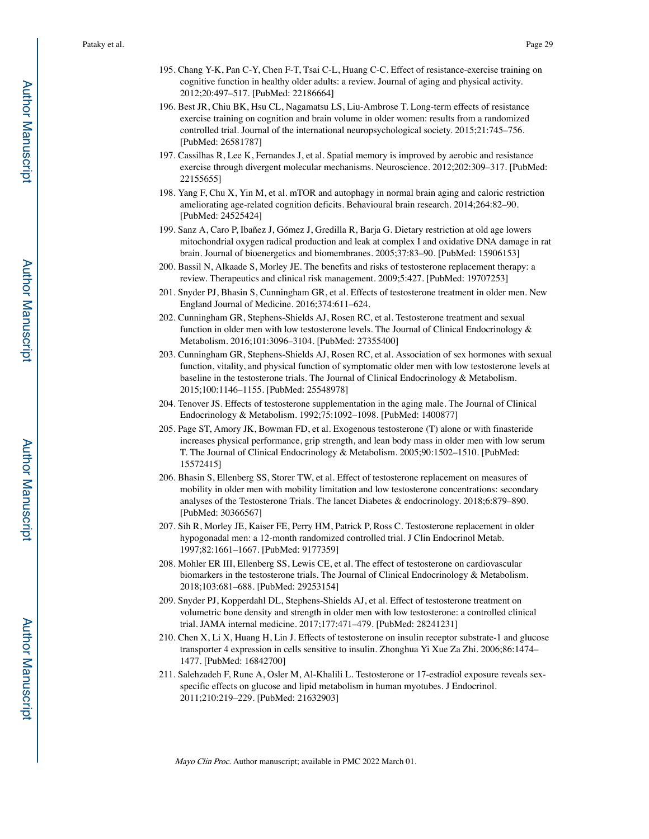- 195. Chang Y-K, Pan C-Y, Chen F-T, Tsai C-L, Huang C-C. Effect of resistance-exercise training on cognitive function in healthy older adults: a review. Journal of aging and physical activity. 2012;20:497–517. [PubMed: 22186664]
- 196. Best JR, Chiu BK, Hsu CL, Nagamatsu LS, Liu-Ambrose T. Long-term effects of resistance exercise training on cognition and brain volume in older women: results from a randomized controlled trial. Journal of the international neuropsychological society. 2015;21:745–756. [PubMed: 26581787]
- 197. Cassilhas R, Lee K, Fernandes J, et al. Spatial memory is improved by aerobic and resistance exercise through divergent molecular mechanisms. Neuroscience. 2012;202:309–317. [PubMed: 22155655]
- 198. Yang F, Chu X, Yin M, et al. mTOR and autophagy in normal brain aging and caloric restriction ameliorating age-related cognition deficits. Behavioural brain research. 2014;264:82–90. [PubMed: 24525424]
- 199. Sanz A, Caro P, Ibañez J, Gómez J, Gredilla R, Barja G. Dietary restriction at old age lowers mitochondrial oxygen radical production and leak at complex I and oxidative DNA damage in rat brain. Journal of bioenergetics and biomembranes. 2005;37:83–90. [PubMed: 15906153]
- 200. Bassil N, Alkaade S, Morley JE. The benefits and risks of testosterone replacement therapy: a review. Therapeutics and clinical risk management. 2009;5:427. [PubMed: 19707253]
- 201. Snyder PJ, Bhasin S, Cunningham GR, et al. Effects of testosterone treatment in older men. New England Journal of Medicine. 2016;374:611–624.
- 202. Cunningham GR, Stephens-Shields AJ, Rosen RC, et al. Testosterone treatment and sexual function in older men with low testosterone levels. The Journal of Clinical Endocrinology  $\&$ Metabolism. 2016;101:3096–3104. [PubMed: 27355400]
- 203. Cunningham GR, Stephens-Shields AJ, Rosen RC, et al. Association of sex hormones with sexual function, vitality, and physical function of symptomatic older men with low testosterone levels at baseline in the testosterone trials. The Journal of Clinical Endocrinology & Metabolism. 2015;100:1146–1155. [PubMed: 25548978]
- 204. Tenover JS. Effects of testosterone supplementation in the aging male. The Journal of Clinical Endocrinology & Metabolism. 1992;75:1092–1098. [PubMed: 1400877]
- 205. Page ST, Amory JK, Bowman FD, et al. Exogenous testosterone (T) alone or with finasteride increases physical performance, grip strength, and lean body mass in older men with low serum T. The Journal of Clinical Endocrinology & Metabolism. 2005;90:1502–1510. [PubMed: 15572415]
- 206. Bhasin S, Ellenberg SS, Storer TW, et al. Effect of testosterone replacement on measures of mobility in older men with mobility limitation and low testosterone concentrations: secondary analyses of the Testosterone Trials. The lancet Diabetes & endocrinology. 2018;6:879–890. [PubMed: 30366567]
- 207. Sih R, Morley JE, Kaiser FE, Perry HM, Patrick P, Ross C. Testosterone replacement in older hypogonadal men: a 12-month randomized controlled trial. J Clin Endocrinol Metab. 1997;82:1661–1667. [PubMed: 9177359]
- 208. Mohler ER III, Ellenberg SS, Lewis CE, et al. The effect of testosterone on cardiovascular biomarkers in the testosterone trials. The Journal of Clinical Endocrinology & Metabolism. 2018;103:681–688. [PubMed: 29253154]
- 209. Snyder PJ, Kopperdahl DL, Stephens-Shields AJ, et al. Effect of testosterone treatment on volumetric bone density and strength in older men with low testosterone: a controlled clinical trial. JAMA internal medicine. 2017;177:471–479. [PubMed: 28241231]
- 210. Chen X, Li X, Huang H, Lin J. Effects of testosterone on insulin receptor substrate-1 and glucose transporter 4 expression in cells sensitive to insulin. Zhonghua Yi Xue Za Zhi. 2006;86:1474– 1477. [PubMed: 16842700]
- 211. Salehzadeh F, Rune A, Osler M, Al-Khalili L. Testosterone or 17-estradiol exposure reveals sexspecific effects on glucose and lipid metabolism in human myotubes. J Endocrinol. 2011;210:219–229. [PubMed: 21632903]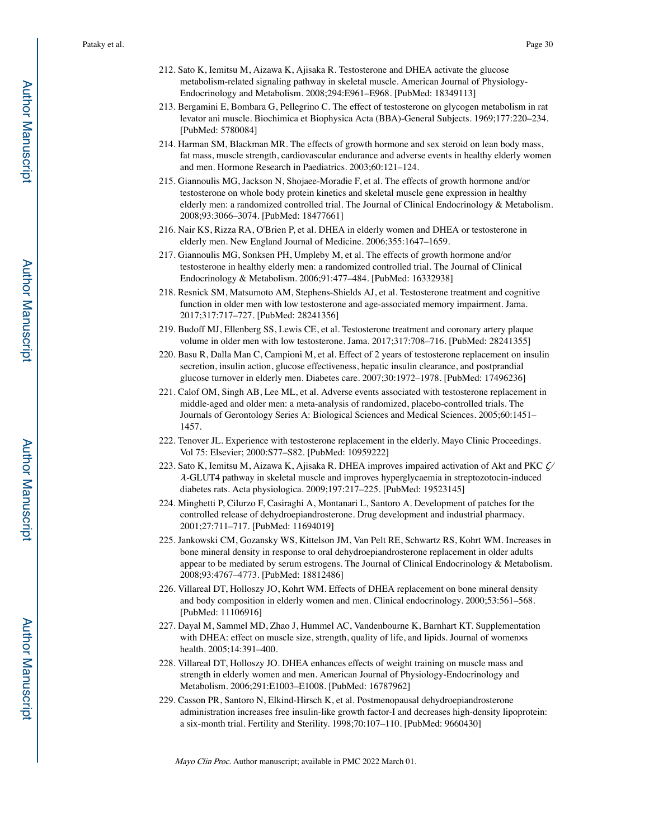- 212. Sato K, Iemitsu M, Aizawa K, Ajisaka R. Testosterone and DHEA activate the glucose metabolism-related signaling pathway in skeletal muscle. American Journal of Physiology-Endocrinology and Metabolism. 2008;294:E961–E968. [PubMed: 18349113]
- 213. Bergamini E, Bombara G, Pellegrino C. The effect of testosterone on glycogen metabolism in rat levator ani muscle. Biochimica et Biophysica Acta (BBA)-General Subjects. 1969;177:220–234. [PubMed: 5780084]
- 214. Harman SM, Blackman MR. The effects of growth hormone and sex steroid on lean body mass, fat mass, muscle strength, cardiovascular endurance and adverse events in healthy elderly women and men. Hormone Research in Paediatrics. 2003;60:121–124.
- 215. Giannoulis MG, Jackson N, Shojaee-Moradie F, et al. The effects of growth hormone and/or testosterone on whole body protein kinetics and skeletal muscle gene expression in healthy elderly men: a randomized controlled trial. The Journal of Clinical Endocrinology & Metabolism. 2008;93:3066–3074. [PubMed: 18477661]
- 216. Nair KS, Rizza RA, O'Brien P, et al. DHEA in elderly women and DHEA or testosterone in elderly men. New England Journal of Medicine. 2006;355:1647–1659.
- 217. Giannoulis MG, Sonksen PH, Umpleby M, et al. The effects of growth hormone and/or testosterone in healthy elderly men: a randomized controlled trial. The Journal of Clinical Endocrinology & Metabolism. 2006;91:477–484. [PubMed: 16332938]
- 218. Resnick SM, Matsumoto AM, Stephens-Shields AJ, et al. Testosterone treatment and cognitive function in older men with low testosterone and age-associated memory impairment. Jama. 2017;317:717–727. [PubMed: 28241356]
- 219. Budoff MJ, Ellenberg SS, Lewis CE, et al. Testosterone treatment and coronary artery plaque volume in older men with low testosterone. Jama. 2017;317:708–716. [PubMed: 28241355]
- 220. Basu R, Dalla Man C, Campioni M, et al. Effect of 2 years of testosterone replacement on insulin secretion, insulin action, glucose effectiveness, hepatic insulin clearance, and postprandial glucose turnover in elderly men. Diabetes care. 2007;30:1972–1978. [PubMed: 17496236]
- 221. Calof OM, Singh AB, Lee ML, et al. Adverse events associated with testosterone replacement in middle-aged and older men: a meta-analysis of randomized, placebo-controlled trials. The Journals of Gerontology Series A: Biological Sciences and Medical Sciences. 2005;60:1451– 1457.
- 222. Tenover JL. Experience with testosterone replacement in the elderly. Mayo Clinic Proceedings. Vol 75: Elsevier; 2000:S77–S82. [PubMed: 10959222]
- 223. Sato K, Iemitsu M, Aizawa K, Ajisaka R. DHEA improves impaired activation of Akt and PKC ζ/ <sup>λ</sup>-GLUT4 pathway in skeletal muscle and improves hyperglycaemia in streptozotocin-induced diabetes rats. Acta physiologica. 2009;197:217–225. [PubMed: 19523145]
- 224. Minghetti P, Cilurzo F, Casiraghi A, Montanari L, Santoro A. Development of patches for the controlled release of dehydroepiandrosterone. Drug development and industrial pharmacy. 2001;27:711–717. [PubMed: 11694019]
- 225. Jankowski CM, Gozansky WS, Kittelson JM, Van Pelt RE, Schwartz RS, Kohrt WM. Increases in bone mineral density in response to oral dehydroepiandrosterone replacement in older adults appear to be mediated by serum estrogens. The Journal of Clinical Endocrinology & Metabolism. 2008;93:4767–4773. [PubMed: 18812486]
- 226. Villareal DT, Holloszy JO, Kohrt WM. Effects of DHEA replacement on bone mineral density and body composition in elderly women and men. Clinical endocrinology. 2000;53:561–568. [PubMed: 11106916]
- 227. Dayal M, Sammel MD, Zhao J, Hummel AC, Vandenbourne K, Barnhart KT. Supplementation with DHEA: effect on muscle size, strength, quality of life, and lipids. Journal of women×s health. 2005;14:391–400.
- 228. Villareal DT, Holloszy JO. DHEA enhances effects of weight training on muscle mass and strength in elderly women and men. American Journal of Physiology-Endocrinology and Metabolism. 2006;291:E1003–E1008. [PubMed: 16787962]
- 229. Casson PR, Santoro N, Elkind-Hirsch K, et al. Postmenopausal dehydroepiandrosterone administration increases free insulin-like growth factor-I and decreases high-density lipoprotein: a six-month trial. Fertility and Sterility. 1998;70:107–110. [PubMed: 9660430]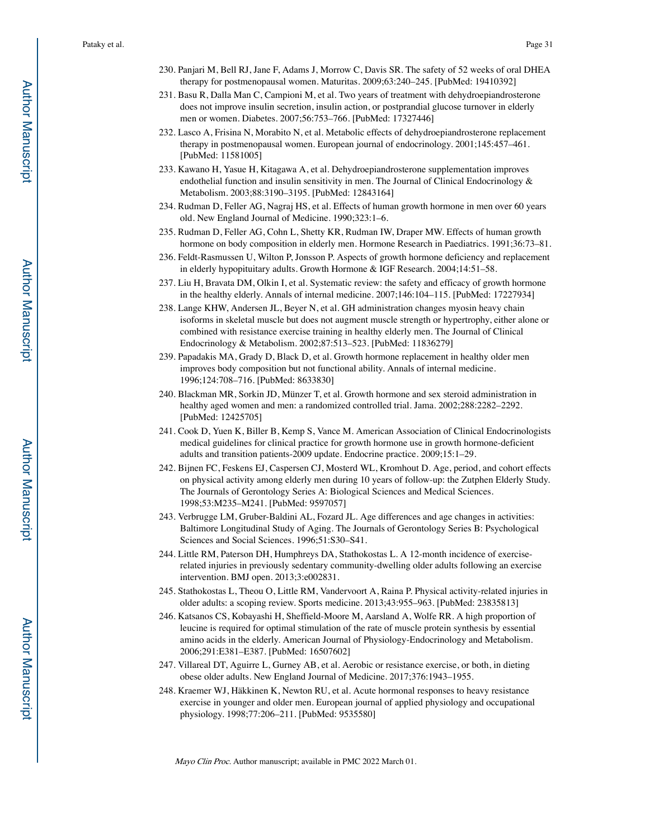- 230. Panjari M, Bell RJ, Jane F, Adams J, Morrow C, Davis SR. The safety of 52 weeks of oral DHEA therapy for postmenopausal women. Maturitas. 2009;63:240–245. [PubMed: 19410392]
- 231. Basu R, Dalla Man C, Campioni M, et al. Two years of treatment with dehydroepiandrosterone does not improve insulin secretion, insulin action, or postprandial glucose turnover in elderly men or women. Diabetes. 2007;56:753–766. [PubMed: 17327446]
- 232. Lasco A, Frisina N, Morabito N, et al. Metabolic effects of dehydroepiandrosterone replacement therapy in postmenopausal women. European journal of endocrinology. 2001;145:457–461. [PubMed: 11581005]
- 233. Kawano H, Yasue H, Kitagawa A, et al. Dehydroepiandrosterone supplementation improves endothelial function and insulin sensitivity in men. The Journal of Clinical Endocrinology & Metabolism. 2003;88:3190–3195. [PubMed: 12843164]
- 234. Rudman D, Feller AG, Nagraj HS, et al. Effects of human growth hormone in men over 60 years old. New England Journal of Medicine. 1990;323:1–6.
- 235. Rudman D, Feller AG, Cohn L, Shetty KR, Rudman IW, Draper MW. Effects of human growth hormone on body composition in elderly men. Hormone Research in Paediatrics. 1991;36:73–81.
- 236. Feldt-Rasmussen U, Wilton P, Jonsson P. Aspects of growth hormone deficiency and replacement in elderly hypopituitary adults. Growth Hormone & IGF Research. 2004;14:51–58.
- 237. Liu H, Bravata DM, Olkin I, et al. Systematic review: the safety and efficacy of growth hormone in the healthy elderly. Annals of internal medicine. 2007;146:104–115. [PubMed: 17227934]
- 238. Lange KHW, Andersen JL, Beyer N, et al. GH administration changes myosin heavy chain isoforms in skeletal muscle but does not augment muscle strength or hypertrophy, either alone or combined with resistance exercise training in healthy elderly men. The Journal of Clinical Endocrinology & Metabolism. 2002;87:513–523. [PubMed: 11836279]
- 239. Papadakis MA, Grady D, Black D, et al. Growth hormone replacement in healthy older men improves body composition but not functional ability. Annals of internal medicine. 1996;124:708–716. [PubMed: 8633830]
- 240. Blackman MR, Sorkin JD, Münzer T, et al. Growth hormone and sex steroid administration in healthy aged women and men: a randomized controlled trial. Jama. 2002;288:2282–2292. [PubMed: 12425705]
- 241. Cook D, Yuen K, Biller B, Kemp S, Vance M. American Association of Clinical Endocrinologists medical guidelines for clinical practice for growth hormone use in growth hormone-deficient adults and transition patients-2009 update. Endocrine practice. 2009;15:1–29.
- 242. Bijnen FC, Feskens EJ, Caspersen CJ, Mosterd WL, Kromhout D. Age, period, and cohort effects on physical activity among elderly men during 10 years of follow-up: the Zutphen Elderly Study. The Journals of Gerontology Series A: Biological Sciences and Medical Sciences. 1998;53:M235–M241. [PubMed: 9597057]
- 243. Verbrugge LM, Gruber-Baldini AL, Fozard JL. Age differences and age changes in activities: Baltimore Longitudinal Study of Aging. The Journals of Gerontology Series B: Psychological Sciences and Social Sciences. 1996;51:S30–S41.
- 244. Little RM, Paterson DH, Humphreys DA, Stathokostas L. A 12-month incidence of exerciserelated injuries in previously sedentary community-dwelling older adults following an exercise intervention. BMJ open. 2013;3:e002831.
- 245. Stathokostas L, Theou O, Little RM, Vandervoort A, Raina P. Physical activity-related injuries in older adults: a scoping review. Sports medicine. 2013;43:955–963. [PubMed: 23835813]
- 246. Katsanos CS, Kobayashi H, Sheffield-Moore M, Aarsland A, Wolfe RR. A high proportion of leucine is required for optimal stimulation of the rate of muscle protein synthesis by essential amino acids in the elderly. American Journal of Physiology-Endocrinology and Metabolism. 2006;291:E381–E387. [PubMed: 16507602]
- 247. Villareal DT, Aguirre L, Gurney AB, et al. Aerobic or resistance exercise, or both, in dieting obese older adults. New England Journal of Medicine. 2017;376:1943–1955.
- 248. Kraemer WJ, Häkkinen K, Newton RU, et al. Acute hormonal responses to heavy resistance exercise in younger and older men. European journal of applied physiology and occupational physiology. 1998;77:206–211. [PubMed: 9535580]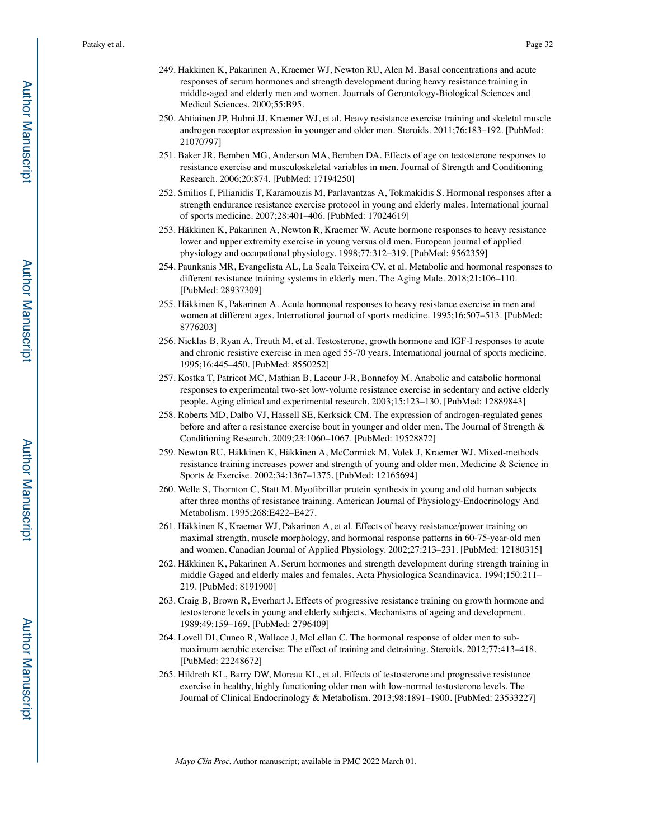- 249. Hakkinen K, Pakarinen A, Kraemer WJ, Newton RU, Alen M. Basal concentrations and acute responses of serum hormones and strength development during heavy resistance training in middle-aged and elderly men and women. Journals of Gerontology-Biological Sciences and Medical Sciences. 2000;55:B95.
- 250. Ahtiainen JP, Hulmi JJ, Kraemer WJ, et al. Heavy resistance exercise training and skeletal muscle androgen receptor expression in younger and older men. Steroids. 2011;76:183–192. [PubMed: 21070797]
- 251. Baker JR, Bemben MG, Anderson MA, Bemben DA. Effects of age on testosterone responses to resistance exercise and musculoskeletal variables in men. Journal of Strength and Conditioning Research. 2006;20:874. [PubMed: 17194250]
- 252. Smilios I, Pilianidis T, Karamouzis M, Parlavantzas A, Tokmakidis S. Hormonal responses after a strength endurance resistance exercise protocol in young and elderly males. International journal of sports medicine. 2007;28:401–406. [PubMed: 17024619]
- 253. Häkkinen K, Pakarinen A, Newton R, Kraemer W. Acute hormone responses to heavy resistance lower and upper extremity exercise in young versus old men. European journal of applied physiology and occupational physiology. 1998;77:312–319. [PubMed: 9562359]
- 254. Paunksnis MR, Evangelista AL, La Scala Teixeira CV, et al. Metabolic and hormonal responses to different resistance training systems in elderly men. The Aging Male. 2018;21:106–110. [PubMed: 28937309]
- 255. Häkkinen K, Pakarinen A. Acute hormonal responses to heavy resistance exercise in men and women at different ages. International journal of sports medicine. 1995;16:507–513. [PubMed: 8776203]
- 256. Nicklas B, Ryan A, Treuth M, et al. Testosterone, growth hormone and IGF-I responses to acute and chronic resistive exercise in men aged 55-70 years. International journal of sports medicine. 1995;16:445–450. [PubMed: 8550252]
- 257. Kostka T, Patricot MC, Mathian B, Lacour J-R, Bonnefoy M. Anabolic and catabolic hormonal responses to experimental two-set low-volume resistance exercise in sedentary and active elderly people. Aging clinical and experimental research. 2003;15:123–130. [PubMed: 12889843]
- 258. Roberts MD, Dalbo VJ, Hassell SE, Kerksick CM. The expression of androgen-regulated genes before and after a resistance exercise bout in younger and older men. The Journal of Strength & Conditioning Research. 2009;23:1060–1067. [PubMed: 19528872]
- 259. Newton RU, Häkkinen K, Häkkinen A, McCormick M, Volek J, Kraemer WJ. Mixed-methods resistance training increases power and strength of young and older men. Medicine & Science in Sports & Exercise. 2002;34:1367–1375. [PubMed: 12165694]
- 260. Welle S, Thornton C, Statt M. Myofibrillar protein synthesis in young and old human subjects after three months of resistance training. American Journal of Physiology-Endocrinology And Metabolism. 1995;268:E422–E427.
- 261. Häkkinen K, Kraemer WJ, Pakarinen A, et al. Effects of heavy resistance/power training on maximal strength, muscle morphology, and hormonal response patterns in 60-75-year-old men and women. Canadian Journal of Applied Physiology. 2002;27:213–231. [PubMed: 12180315]
- 262. Häkkinen K, Pakarinen A. Serum hormones and strength development during strength training in middle Gaged and elderly males and females. Acta Physiologica Scandinavica. 1994;150:211– 219. [PubMed: 8191900]
- 263. Craig B, Brown R, Everhart J. Effects of progressive resistance training on growth hormone and testosterone levels in young and elderly subjects. Mechanisms of ageing and development. 1989;49:159–169. [PubMed: 2796409]
- 264. Lovell DI, Cuneo R, Wallace J, McLellan C. The hormonal response of older men to submaximum aerobic exercise: The effect of training and detraining. Steroids. 2012;77:413–418. [PubMed: 22248672]
- 265. Hildreth KL, Barry DW, Moreau KL, et al. Effects of testosterone and progressive resistance exercise in healthy, highly functioning older men with low-normal testosterone levels. The Journal of Clinical Endocrinology & Metabolism. 2013;98:1891–1900. [PubMed: 23533227]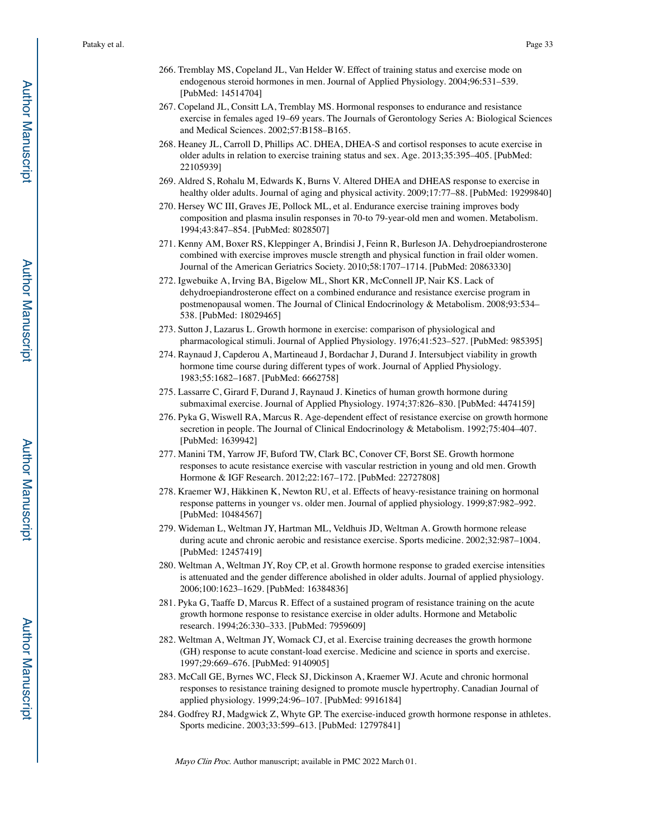- 266. Tremblay MS, Copeland JL, Van Helder W. Effect of training status and exercise mode on endogenous steroid hormones in men. Journal of Applied Physiology. 2004;96:531–539. [PubMed: 14514704]
- 267. Copeland JL, Consitt LA, Tremblay MS. Hormonal responses to endurance and resistance exercise in females aged 19–69 years. The Journals of Gerontology Series A: Biological Sciences and Medical Sciences. 2002;57:B158–B165.
- 268. Heaney JL, Carroll D, Phillips AC. DHEA, DHEA-S and cortisol responses to acute exercise in older adults in relation to exercise training status and sex. Age. 2013;35:395–405. [PubMed: 22105939]
- 269. Aldred S, Rohalu M, Edwards K, Burns V. Altered DHEA and DHEAS response to exercise in healthy older adults. Journal of aging and physical activity. 2009;17:77–88. [PubMed: 19299840]
- 270. Hersey WC III, Graves JE, Pollock ML, et al. Endurance exercise training improves body composition and plasma insulin responses in 70-to 79-year-old men and women. Metabolism. 1994;43:847–854. [PubMed: 8028507]
- 271. Kenny AM, Boxer RS, Kleppinger A, Brindisi J, Feinn R, Burleson JA. Dehydroepiandrosterone combined with exercise improves muscle strength and physical function in frail older women. Journal of the American Geriatrics Society. 2010;58:1707–1714. [PubMed: 20863330]
- 272. Igwebuike A, Irving BA, Bigelow ML, Short KR, McConnell JP, Nair KS. Lack of dehydroepiandrosterone effect on a combined endurance and resistance exercise program in postmenopausal women. The Journal of Clinical Endocrinology & Metabolism. 2008;93:534– 538. [PubMed: 18029465]
- 273. Sutton J, Lazarus L. Growth hormone in exercise: comparison of physiological and pharmacological stimuli. Journal of Applied Physiology. 1976;41:523–527. [PubMed: 985395]
- 274. Raynaud J, Capderou A, Martineaud J, Bordachar J, Durand J. Intersubject viability in growth hormone time course during different types of work. Journal of Applied Physiology. 1983;55:1682–1687. [PubMed: 6662758]
- 275. Lassarre C, Girard F, Durand J, Raynaud J. Kinetics of human growth hormone during submaximal exercise. Journal of Applied Physiology. 1974;37:826–830. [PubMed: 4474159]
- 276. Pyka G, Wiswell RA, Marcus R. Age-dependent effect of resistance exercise on growth hormone secretion in people. The Journal of Clinical Endocrinology & Metabolism. 1992;75:404–407. [PubMed: 1639942]
- 277. Manini TM, Yarrow JF, Buford TW, Clark BC, Conover CF, Borst SE. Growth hormone responses to acute resistance exercise with vascular restriction in young and old men. Growth Hormone & IGF Research. 2012;22:167–172. [PubMed: 22727808]
- 278. Kraemer WJ, Häkkinen K, Newton RU, et al. Effects of heavy-resistance training on hormonal response patterns in younger vs. older men. Journal of applied physiology. 1999;87:982–992. [PubMed: 10484567]
- 279. Wideman L, Weltman JY, Hartman ML, Veldhuis JD, Weltman A. Growth hormone release during acute and chronic aerobic and resistance exercise. Sports medicine. 2002;32:987–1004. [PubMed: 12457419]
- 280. Weltman A, Weltman JY, Roy CP, et al. Growth hormone response to graded exercise intensities is attenuated and the gender difference abolished in older adults. Journal of applied physiology. 2006;100:1623–1629. [PubMed: 16384836]
- 281. Pyka G, Taaffe D, Marcus R. Effect of a sustained program of resistance training on the acute growth hormone response to resistance exercise in older adults. Hormone and Metabolic research. 1994;26:330–333. [PubMed: 7959609]
- 282. Weltman A, Weltman JY, Womack CJ, et al. Exercise training decreases the growth hormone (GH) response to acute constant-load exercise. Medicine and science in sports and exercise. 1997;29:669–676. [PubMed: 9140905]
- 283. McCall GE, Byrnes WC, Fleck SJ, Dickinson A, Kraemer WJ. Acute and chronic hormonal responses to resistance training designed to promote muscle hypertrophy. Canadian Journal of applied physiology. 1999;24:96–107. [PubMed: 9916184]
- 284. Godfrey RJ, Madgwick Z, Whyte GP. The exercise-induced growth hormone response in athletes. Sports medicine. 2003;33:599–613. [PubMed: 12797841]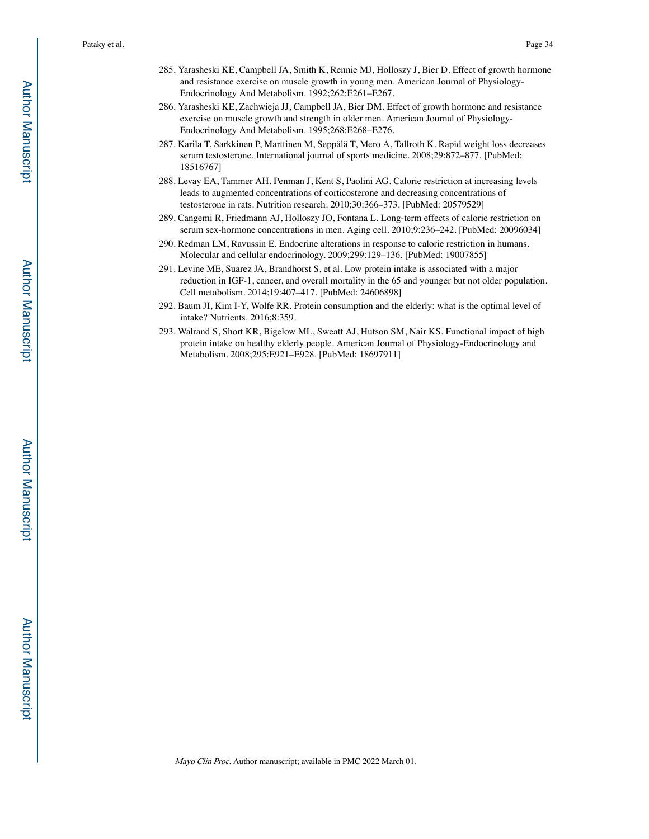- 285. Yarasheski KE, Campbell JA, Smith K, Rennie MJ, Holloszy J, Bier D. Effect of growth hormone and resistance exercise on muscle growth in young men. American Journal of Physiology-Endocrinology And Metabolism. 1992;262:E261–E267.
- 286. Yarasheski KE, Zachwieja JJ, Campbell JA, Bier DM. Effect of growth hormone and resistance exercise on muscle growth and strength in older men. American Journal of Physiology-Endocrinology And Metabolism. 1995;268:E268–E276.
- 287. Karila T, Sarkkinen P, Marttinen M, Seppälä T, Mero A, Tallroth K. Rapid weight loss decreases serum testosterone. International journal of sports medicine. 2008;29:872–877. [PubMed: 18516767]
- 288. Levay EA, Tammer AH, Penman J, Kent S, Paolini AG. Calorie restriction at increasing levels leads to augmented concentrations of corticosterone and decreasing concentrations of testosterone in rats. Nutrition research. 2010;30:366–373. [PubMed: 20579529]
- 289. Cangemi R, Friedmann AJ, Holloszy JO, Fontana L. Long-term effects of calorie restriction on serum sex-hormone concentrations in men. Aging cell. 2010;9:236–242. [PubMed: 20096034]
- 290. Redman LM, Ravussin E. Endocrine alterations in response to calorie restriction in humans. Molecular and cellular endocrinology. 2009;299:129–136. [PubMed: 19007855]
- 291. Levine ME, Suarez JA, Brandhorst S, et al. Low protein intake is associated with a major reduction in IGF-1, cancer, and overall mortality in the 65 and younger but not older population. Cell metabolism. 2014;19:407–417. [PubMed: 24606898]
- 292. Baum JI, Kim I-Y, Wolfe RR. Protein consumption and the elderly: what is the optimal level of intake? Nutrients. 2016;8:359.
- 293. Walrand S, Short KR, Bigelow ML, Sweatt AJ, Hutson SM, Nair KS. Functional impact of high protein intake on healthy elderly people. American Journal of Physiology-Endocrinology and Metabolism. 2008;295:E921–E928. [PubMed: 18697911]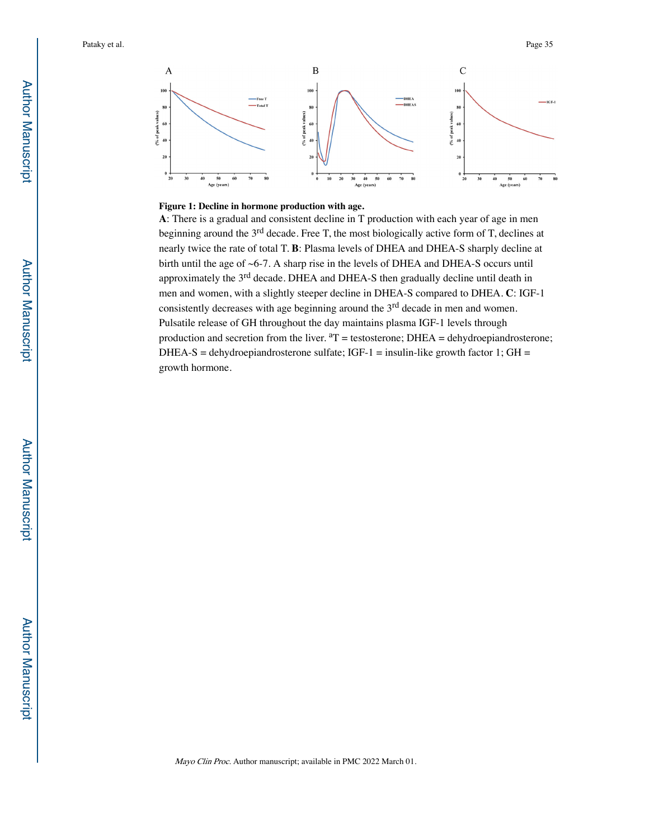

#### **Figure 1: Decline in hormone production with age.**

**A**: There is a gradual and consistent decline in T production with each year of age in men beginning around the 3<sup>rd</sup> decade. Free T, the most biologically active form of T, declines at nearly twice the rate of total T. **B**: Plasma levels of DHEA and DHEA-S sharply decline at birth until the age of ~6-7. A sharp rise in the levels of DHEA and DHEA-S occurs until approximately the 3rd decade. DHEA and DHEA-S then gradually decline until death in men and women, with a slightly steeper decline in DHEA-S compared to DHEA. **C**: IGF-1 consistently decreases with age beginning around the 3<sup>rd</sup> decade in men and women. Pulsatile release of GH throughout the day maintains plasma IGF-1 levels through production and secretion from the liver.  ${}^{a}T =$  testosterone; DHEA = dehydroepiandrosterone; DHEA-S = dehydroepiandrosterone sulfate; IGF-1 = insulin-like growth factor 1; GH = growth hormone.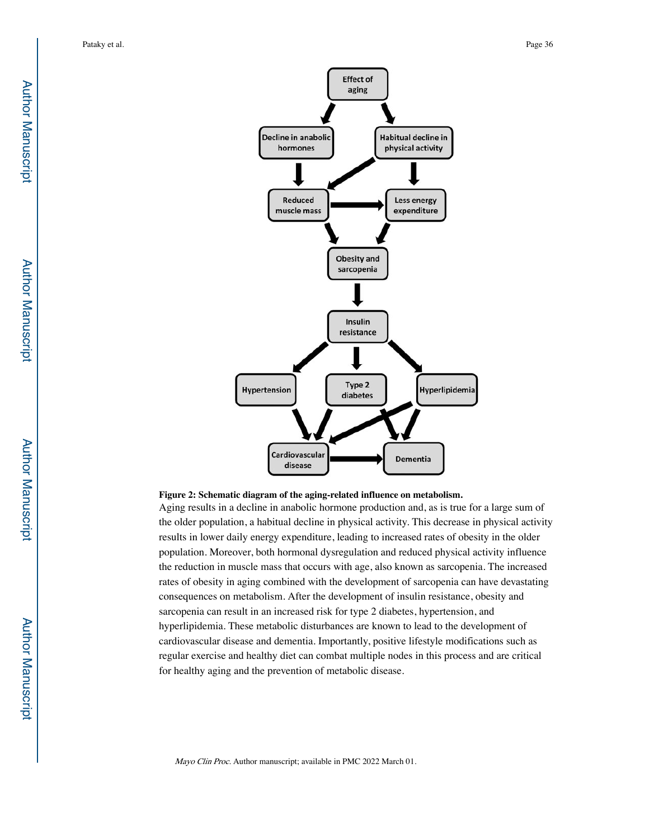

#### **Figure 2: Schematic diagram of the aging-related influence on metabolism.**

Aging results in a decline in anabolic hormone production and, as is true for a large sum of the older population, a habitual decline in physical activity. This decrease in physical activity results in lower daily energy expenditure, leading to increased rates of obesity in the older population. Moreover, both hormonal dysregulation and reduced physical activity influence the reduction in muscle mass that occurs with age, also known as sarcopenia. The increased rates of obesity in aging combined with the development of sarcopenia can have devastating consequences on metabolism. After the development of insulin resistance, obesity and sarcopenia can result in an increased risk for type 2 diabetes, hypertension, and hyperlipidemia. These metabolic disturbances are known to lead to the development of cardiovascular disease and dementia. Importantly, positive lifestyle modifications such as regular exercise and healthy diet can combat multiple nodes in this process and are critical for healthy aging and the prevention of metabolic disease.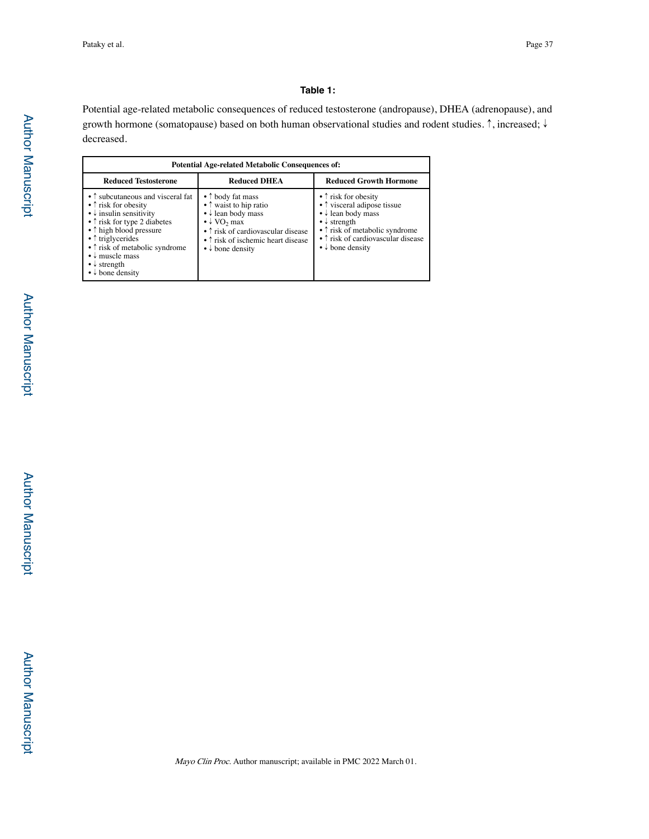## **Table 1:**

Potential age-related metabolic consequences of reduced testosterone (andropause), DHEA (adrenopause), and growth hormone (somatopause) based on both human observational studies and rodent studies. ↑, increased; ↓ decreased.

| <b>Potential Age-related Metabolic Consequences of:</b>                                                                                                                                                                                                                                                                                                                              |                                                                                                                                                                                                                                                     |                                                                                                                                                                                                                                                           |  |  |
|--------------------------------------------------------------------------------------------------------------------------------------------------------------------------------------------------------------------------------------------------------------------------------------------------------------------------------------------------------------------------------------|-----------------------------------------------------------------------------------------------------------------------------------------------------------------------------------------------------------------------------------------------------|-----------------------------------------------------------------------------------------------------------------------------------------------------------------------------------------------------------------------------------------------------------|--|--|
| <b>Reduced Testosterone</b>                                                                                                                                                                                                                                                                                                                                                          | <b>Reduced DHEA</b>                                                                                                                                                                                                                                 | <b>Reduced Growth Hormone</b>                                                                                                                                                                                                                             |  |  |
| • ↑ subcutaneous and visceral fat<br>$\bullet$ $\uparrow$ risk for obesity<br>$\bullet \downarrow$ insulin sensitivity<br>$\bullet$ $\uparrow$ risk for type 2 diabetes<br>• 1 high blood pressure<br>$\bullet$ $\uparrow$ triglycerides<br>• 1 risk of metabolic syndrome<br>$\bullet \downarrow$ muscle mass<br>$\bullet \downarrow$ strength<br>$\bullet \downarrow$ bone density | • 1 body fat mass<br>• ↑ waist to hip ratio<br>$\bullet \downarrow$ lean body mass<br>$\bullet \downarrow \text{VO}_2 \text{ max}$<br>• 1 risk of cardiovascular disease<br>• 1 risk of ischemic heart disease<br>$\bullet \downarrow$ bone density | $\bullet$ $\uparrow$ risk for obesity<br>• ↑ visceral adipose tissue<br>$\bullet \downarrow$ lean body mass<br>$\bullet \downarrow$ strength<br>• ↑ risk of metabolic syndrome<br>• 1 risk of cardiovascular disease<br>$\bullet \downarrow$ bone density |  |  |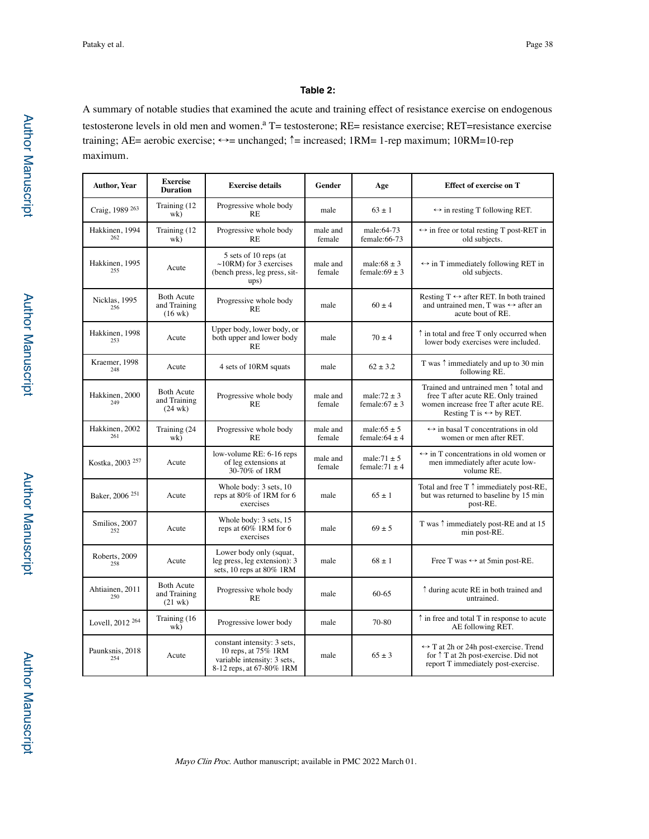# **Table 2:**

A summary of notable studies that examined the acute and training effect of resistance exercise on endogenous testosterone levels in old men and women.<sup>a</sup> T= testosterone; RE= resistance exercise; RET=resistance exercise training; AE= aerobic exercise; ↔= unchanged; ↑= increased; 1RM= 1-rep maximum; 10RM=10-rep maximum.

| <b>Author, Year</b>         | <b>Exercise</b><br><b>Duration</b>                     | <b>Exercise details</b>                                                                                       | Gender             | Age                                    | Effect of exercise on T                                                                                                                                                  |
|-----------------------------|--------------------------------------------------------|---------------------------------------------------------------------------------------------------------------|--------------------|----------------------------------------|--------------------------------------------------------------------------------------------------------------------------------------------------------------------------|
| Craig, 1989 263             | Training (12<br>wk)                                    | Progressive whole body<br><b>RE</b>                                                                           | male               | $63 + 1$                               | $\leftrightarrow$ in resting T following RET.                                                                                                                            |
| Hakkinen, 1994<br>262       | Training (12<br>wk)                                    | Progressive whole body<br>RE                                                                                  | male and<br>female | male:64-73<br>female:66-73             | $\leftrightarrow$ in free or total resting T post-RET in<br>old subjects.                                                                                                |
| Hakkinen, 1995<br>255       | Acute                                                  | 5 sets of 10 reps (at<br>$\sim$ 10RM) for 3 exercises<br>(bench press, leg press, sit-<br>ups)                | male and<br>female | male: $68 \pm 3$<br>female: $69 \pm 3$ | $\leftrightarrow$ in T immediately following RET in<br>old subjects.                                                                                                     |
| Nicklas, 1995<br>256        | <b>Both Acute</b><br>and Training<br>$(16 \text{ wk})$ | Progressive whole body<br><b>RE</b>                                                                           | male               | $60 \pm 4$                             | Resting $T \leftrightarrow$ after RET. In both trained<br>and untrained men. T was $\leftrightarrow$ after an<br>acute bout of RE.                                       |
| Hakkinen, 1998<br>253       | Acute                                                  | Upper body, lower body, or<br>both upper and lower body<br><b>RE</b>                                          | male               | $70 \pm 4$                             | ↑ in total and free T only occurred when<br>lower body exercises were included.                                                                                          |
| Kraemer, 1998<br>248        | Acute                                                  | 4 sets of 10RM squats                                                                                         | male               | $62 \pm 3.2$                           | T was $\uparrow$ immediately and up to 30 min<br>following RE.                                                                                                           |
| Hakkinen, 2000<br>249       | <b>Both Acute</b><br>and Training<br>$(24 \text{ wk})$ | Progressive whole body<br><b>RE</b>                                                                           | male and<br>female | male: $72 \pm 3$<br>female: $67 \pm 3$ | Trained and untrained men $\uparrow$ total and<br>free T after acute RE. Only trained<br>women increase free T after acute RE.<br>Resting T is $\leftrightarrow$ by RET. |
| Hakkinen, 2002<br>261       | Training (24<br>wk)                                    | Progressive whole body<br><b>RE</b>                                                                           | male and<br>female | male: $65 \pm 5$<br>female: $64 \pm 4$ | $\leftrightarrow$ in basal T concentrations in old<br>women or men after RET.                                                                                            |
| Kostka, 2003 <sup>257</sup> | Acute                                                  | low-volume RE: 6-16 reps<br>of leg extensions at<br>30-70% of 1RM                                             | male and<br>female | male: $71 \pm 5$<br>female: $71 \pm 4$ | $\leftrightarrow$ in T concentrations in old women or<br>men immediately after acute low-<br>volume RE.                                                                  |
| Baker, 2006 <sup>251</sup>  | Acute                                                  | Whole body: 3 sets, 10<br>reps at 80% of 1RM for 6<br>exercises                                               | male               | $65 \pm 1$                             | Total and free $T \uparrow$ immediately post-RE,<br>but was returned to baseline by 15 min<br>post-RE.                                                                   |
| Smilios, 2007<br>252        | Acute                                                  | Whole body: 3 sets, 15<br>reps at 60% 1RM for 6<br>exercises                                                  | male               | $69 \pm 5$                             | T was $\uparrow$ immediately post-RE and at 15<br>min post-RE.                                                                                                           |
| Roberts, 2009<br>258        | Acute                                                  | Lower body only (squat,<br>leg press, leg extension): 3<br>sets, 10 reps at $80\%$ 1RM                        | male               | $68 + 1$                               | Free T was $\leftrightarrow$ at 5min post-RE.                                                                                                                            |
| Ahtiainen, 2011<br>250      | <b>Both Acute</b><br>and Training<br>$(21 \text{ wk})$ | Progressive whole body<br><b>RE</b>                                                                           | male               | $60 - 65$                              | ↑ during acute RE in both trained and<br>untrained.                                                                                                                      |
| Lovell, 2012 <sup>264</sup> | Training (16<br>wk)                                    | Progressive lower body                                                                                        | male               | 70-80                                  | $\uparrow$ in free and total T in response to acute<br>AE following RET.                                                                                                 |
| Paunksnis, 2018<br>254      | Acute                                                  | constant intensity: 3 sets,<br>10 reps, at 75% 1RM<br>variable intensity: 3 sets,<br>8-12 reps, at 67-80% 1RM | male               | $65 \pm 3$                             | $\leftrightarrow$ T at 2h or 24h post-exercise. Trend<br>for $\uparrow$ T at 2h post-exercise. Did not<br>report T immediately post-exercise.                            |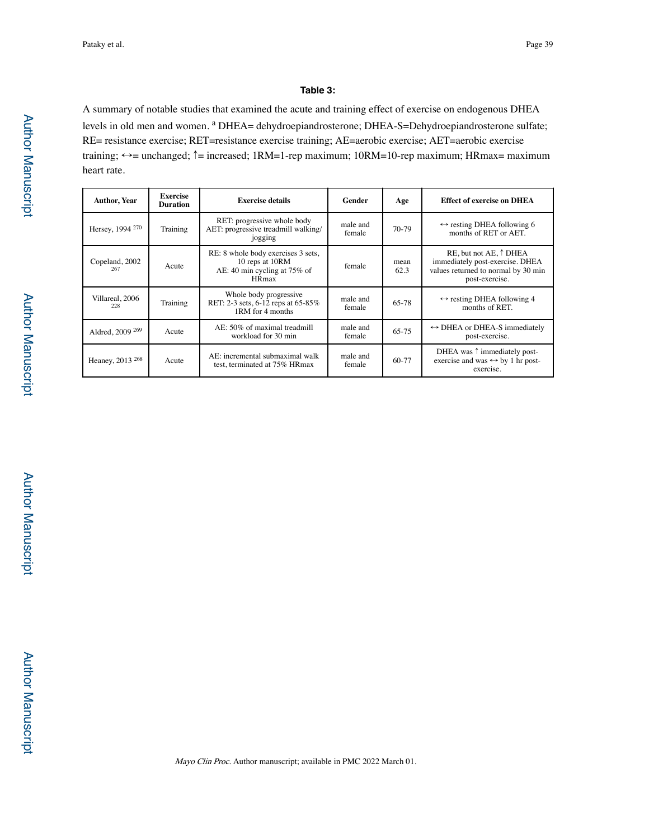## **Table 3:**

A summary of notable studies that examined the acute and training effect of exercise on endogenous DHEA levels in old men and women. <sup>a</sup> DHEA= dehydroepiandrosterone; DHEA-S=Dehydroepiandrosterone sulfate; RE= resistance exercise; RET=resistance exercise training; AE=aerobic exercise; AET=aerobic exercise training; ↔= unchanged; ↑= increased; 1RM=1-rep maximum; 10RM=10-rep maximum; HRmax= maximum heart rate.

| <b>Author, Year</b>         | <b>Exercise</b><br><b>Duration</b> | <b>Exercise details</b><br>Gender                                                                                |                    | Age          | <b>Effect of exercise on DHEA</b>                                                                                           |
|-----------------------------|------------------------------------|------------------------------------------------------------------------------------------------------------------|--------------------|--------------|-----------------------------------------------------------------------------------------------------------------------------|
| Hersey, 1994 <sup>270</sup> | Training                           | RET: progressive whole body<br>male and<br>AET: progressive treadmill walking/<br>female<br>jogging              |                    | $70-79$      | $\leftrightarrow$ resting DHEA following 6<br>months of RET or AET.                                                         |
| Copeland, 2002<br>267       | Acute                              | RE: 8 whole body exercises 3 sets,<br>10 reps at 10RM<br>female<br>AE: 40 min cycling at 75% of<br><b>HR</b> max |                    | mean<br>62.3 | RE, but not AE, $\uparrow$ DHEA<br>immediately post-exercise. DHEA<br>values returned to normal by 30 min<br>post-exercise. |
| Villareal, 2006<br>228      | Training                           | Whole body progressive<br>RET: 2-3 sets, 6-12 reps at 65-85%<br>1RM for 4 months                                 | male and<br>female | 65-78        | $\leftrightarrow$ resting DHEA following 4<br>months of RET.                                                                |
| Aldred, 2009 <sup>269</sup> | Acute                              | AE: 50% of maximal treadmill<br>male and<br>workload for 30 min<br>female                                        |                    | 65-75        | $\leftrightarrow$ DHEA or DHEA-S immediately<br>post-exercise.                                                              |
| Heaney, 2013 <sup>268</sup> | Acute                              | AE: incremental submaximal walk<br>male and<br>test, terminated at 75% HRmax<br>female                           |                    | 60-77        | DHEA was ↑ immediately post-<br>exercise and was $\leftrightarrow$ by 1 hr post-<br>exercise.                               |